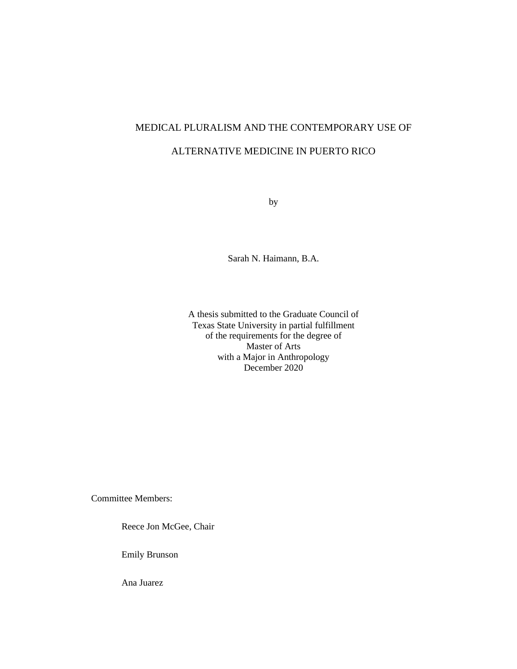# MEDICAL PLURALISM AND THE CONTEMPORARY USE OF ALTERNATIVE MEDICINE IN PUERTO RICO

by

Sarah N. Haimann, B.A.

A thesis submitted to the Graduate Council of Texas State University in partial fulfillment of the requirements for the degree of Master of Arts with a Major in Anthropology December 2020

Committee Members:

Reece Jon McGee, Chair

Emily Brunson

Ana Juarez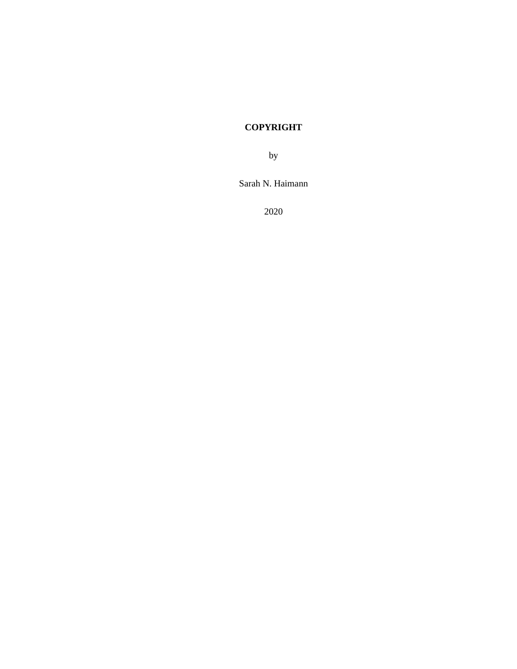# **COPYRIGHT**

by

Sarah N. Haimann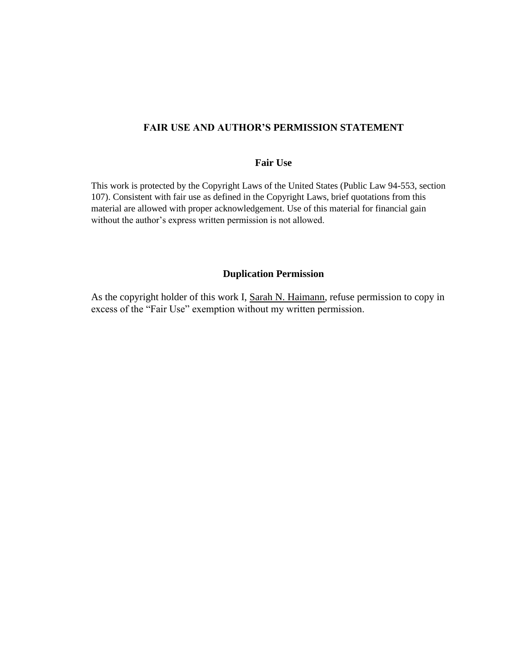### **FAIR USE AND AUTHOR'S PERMISSION STATEMENT**

#### **Fair Use**

This work is protected by the Copyright Laws of the United States (Public Law 94-553, section 107). Consistent with fair use as defined in the Copyright Laws, brief quotations from this material are allowed with proper acknowledgement. Use of this material for financial gain without the author's express written permission is not allowed.

### **Duplication Permission**

As the copyright holder of this work I, Sarah N. Haimann, refuse permission to copy in excess of the "Fair Use" exemption without my written permission.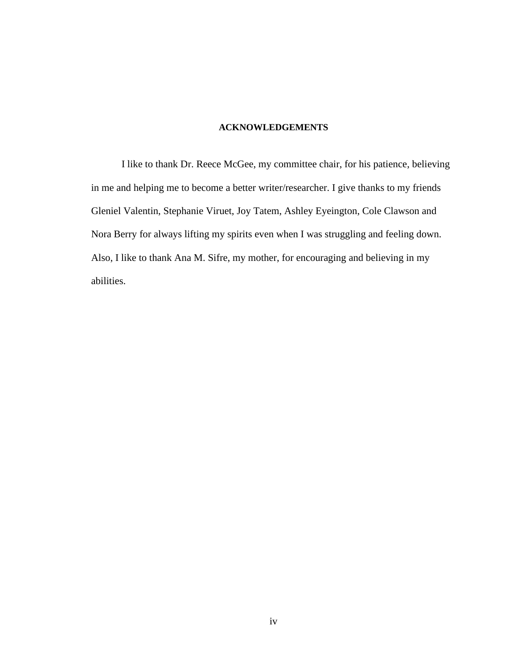### **ACKNOWLEDGEMENTS**

I like to thank Dr. Reece McGee, my committee chair, for his patience, believing in me and helping me to become a better writer/researcher. I give thanks to my friends Gleniel Valentin, Stephanie Viruet, Joy Tatem, Ashley Eyeington, Cole Clawson and Nora Berry for always lifting my spirits even when I was struggling and feeling down. Also, I like to thank Ana M. Sifre, my mother, for encouraging and believing in my abilities.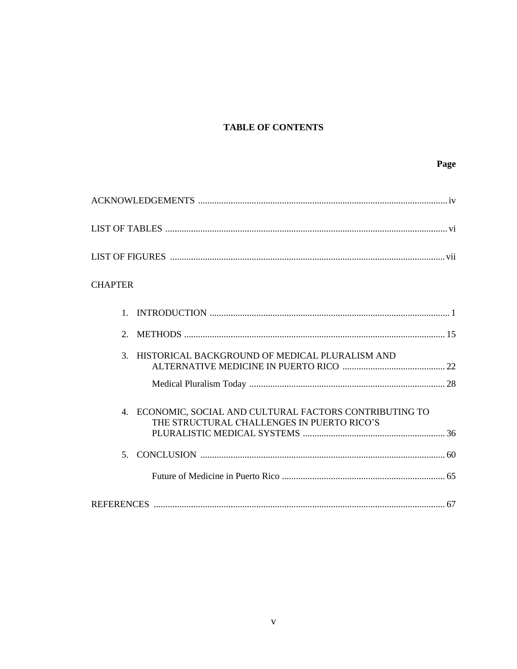## **TABLE OF CONTENTS**

| <b>CHAPTER</b>                                                                                                        |
|-----------------------------------------------------------------------------------------------------------------------|
| $\mathbf{1}$                                                                                                          |
| 2.                                                                                                                    |
| HISTORICAL BACKGROUND OF MEDICAL PLURALISM AND<br>3.                                                                  |
| ECONOMIC, SOCIAL AND CULTURAL FACTORS CONTRIBUTING TO<br>$\overline{4}$<br>THE STRUCTURAL CHALLENGES IN PUERTO RICO'S |
|                                                                                                                       |
|                                                                                                                       |
|                                                                                                                       |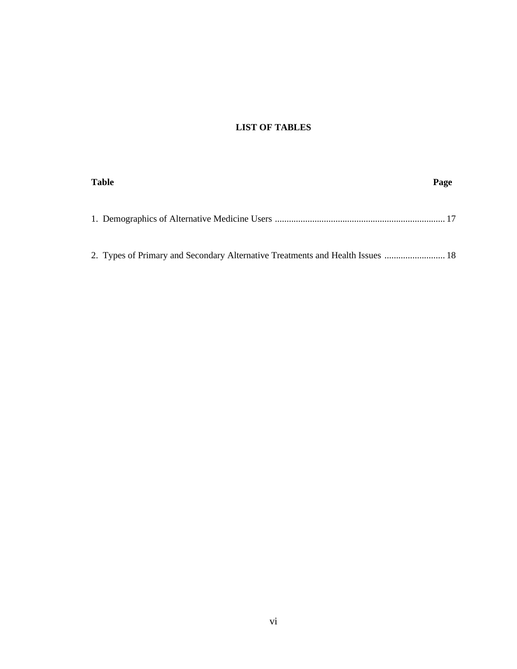## **LIST OF TABLES**

| <b>Table</b>                                                                   | Page |
|--------------------------------------------------------------------------------|------|
|                                                                                |      |
| 2. Types of Primary and Secondary Alternative Treatments and Health Issues  18 |      |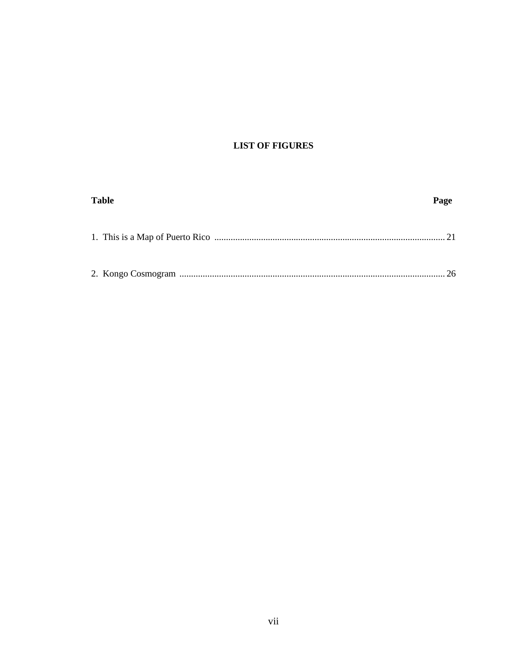### **LIST OF FIGURES**

| <b>Table</b> | Page |
|--------------|------|
|              |      |
|              | 26   |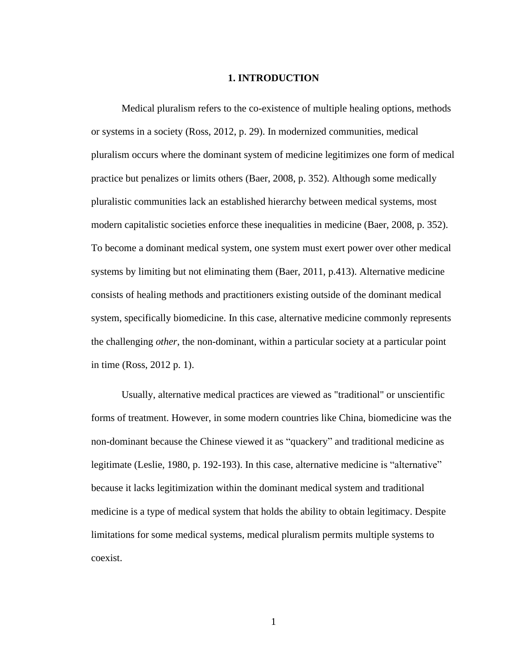#### **1. INTRODUCTION**

Medical pluralism refers to the co-existence of multiple healing options, methods or systems in a society (Ross, 2012, p. 29). In modernized communities, medical pluralism occurs where the dominant system of medicine legitimizes one form of medical practice but penalizes or limits others (Baer, 2008, p. 352). Although some medically pluralistic communities lack an established hierarchy between medical systems, most modern capitalistic societies enforce these inequalities in medicine (Baer, 2008, p. 352). To become a dominant medical system, one system must exert power over other medical systems by limiting but not eliminating them (Baer, 2011, p.413). Alternative medicine consists of healing methods and practitioners existing outside of the dominant medical system, specifically biomedicine. In this case, alternative medicine commonly represents the challenging *other*, the non-dominant, within a particular society at a particular point in time (Ross, 2012 p. 1).

Usually, alternative medical practices are viewed as "traditional" or unscientific forms of treatment. However, in some modern countries like China, biomedicine was the non-dominant because the Chinese viewed it as "quackery" and traditional medicine as legitimate (Leslie, 1980, p. 192-193). In this case, alternative medicine is "alternative" because it lacks legitimization within the dominant medical system and traditional medicine is a type of medical system that holds the ability to obtain legitimacy. Despite limitations for some medical systems, medical pluralism permits multiple systems to coexist.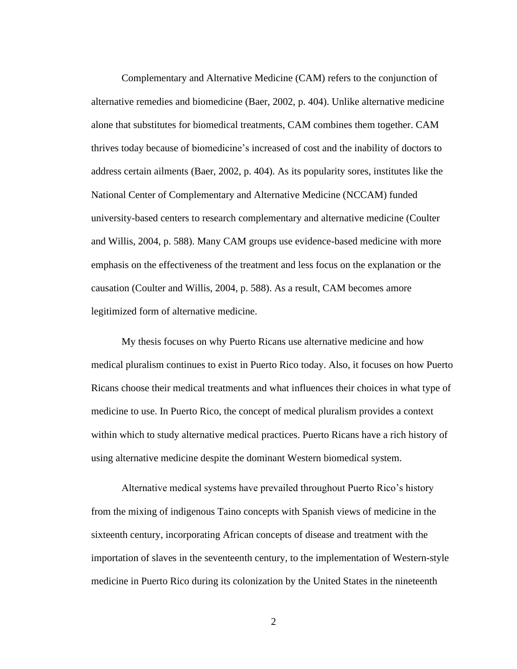Complementary and Alternative Medicine (CAM) refers to the conjunction of alternative remedies and biomedicine (Baer, 2002, p. 404). Unlike alternative medicine alone that substitutes for biomedical treatments, CAM combines them together. CAM thrives today because of biomedicine's increased of cost and the inability of doctors to address certain ailments (Baer, 2002, p. 404). As its popularity sores, institutes like the National Center of Complementary and Alternative Medicine (NCCAM) funded university-based centers to research complementary and alternative medicine (Coulter and Willis, 2004, p. 588). Many CAM groups use evidence-based medicine with more emphasis on the effectiveness of the treatment and less focus on the explanation or the causation (Coulter and Willis, 2004, p. 588). As a result, CAM becomes amore legitimized form of alternative medicine.

My thesis focuses on why Puerto Ricans use alternative medicine and how medical pluralism continues to exist in Puerto Rico today. Also, it focuses on how Puerto Ricans choose their medical treatments and what influences their choices in what type of medicine to use. In Puerto Rico, the concept of medical pluralism provides a context within which to study alternative medical practices. Puerto Ricans have a rich history of using alternative medicine despite the dominant Western biomedical system.

Alternative medical systems have prevailed throughout Puerto Rico's history from the mixing of indigenous Taino concepts with Spanish views of medicine in the sixteenth century, incorporating African concepts of disease and treatment with the importation of slaves in the seventeenth century, to the implementation of Western-style medicine in Puerto Rico during its colonization by the United States in the nineteenth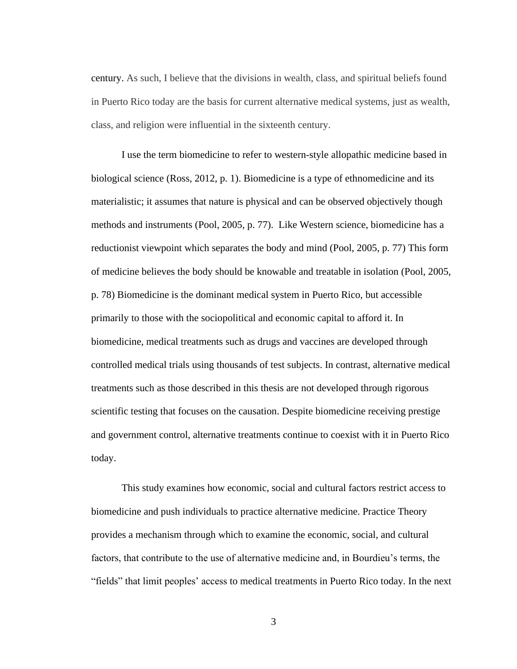century. As such, I believe that the divisions in wealth, class, and spiritual beliefs found in Puerto Rico today are the basis for current alternative medical systems, just as wealth, class, and religion were influential in the sixteenth century.

I use the term biomedicine to refer to western-style allopathic medicine based in biological science (Ross, 2012, p. 1). Biomedicine is a type of ethnomedicine and its materialistic; it assumes that nature is physical and can be observed objectively though methods and instruments (Pool, 2005, p. 77). Like Western science, biomedicine has a reductionist viewpoint which separates the body and mind (Pool, 2005, p. 77) This form of medicine believes the body should be knowable and treatable in isolation (Pool, 2005, p. 78) Biomedicine is the dominant medical system in Puerto Rico, but accessible primarily to those with the sociopolitical and economic capital to afford it. In biomedicine, medical treatments such as drugs and vaccines are developed through controlled medical trials using thousands of test subjects. In contrast, alternative medical treatments such as those described in this thesis are not developed through rigorous scientific testing that focuses on the causation. Despite biomedicine receiving prestige and government control, alternative treatments continue to coexist with it in Puerto Rico today.

This study examines how economic, social and cultural factors restrict access to biomedicine and push individuals to practice alternative medicine. Practice Theory provides a mechanism through which to examine the economic, social, and cultural factors, that contribute to the use of alternative medicine and, in Bourdieu's terms, the "fields" that limit peoples' access to medical treatments in Puerto Rico today. In the next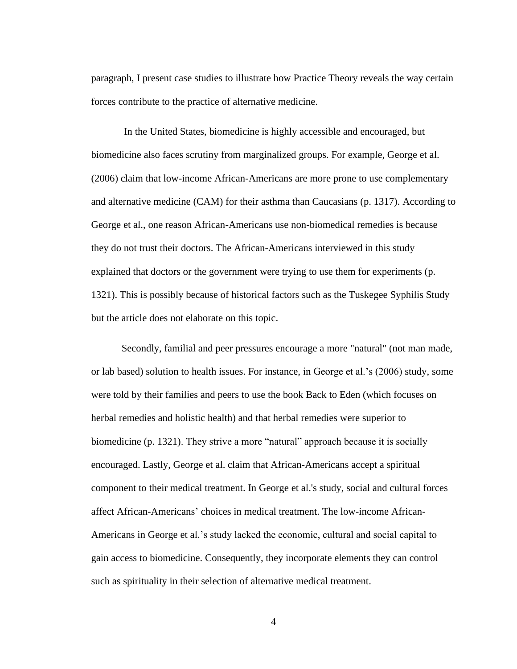paragraph, I present case studies to illustrate how Practice Theory reveals the way certain forces contribute to the practice of alternative medicine.

In the United States, biomedicine is highly accessible and encouraged, but biomedicine also faces scrutiny from marginalized groups. For example, George et al. (2006) claim that low-income African-Americans are more prone to use complementary and alternative medicine (CAM) for their asthma than Caucasians (p. 1317). According to George et al., one reason African-Americans use non-biomedical remedies is because they do not trust their doctors. The African-Americans interviewed in this study explained that doctors or the government were trying to use them for experiments (p. 1321). This is possibly because of historical factors such as the Tuskegee Syphilis Study but the article does not elaborate on this topic.

Secondly, familial and peer pressures encourage a more "natural" (not man made, or lab based) solution to health issues. For instance, in George et al.'s (2006) study, some were told by their families and peers to use the book Back to Eden (which focuses on herbal remedies and holistic health) and that herbal remedies were superior to biomedicine (p. 1321). They strive a more "natural" approach because it is socially encouraged. Lastly, George et al. claim that African-Americans accept a spiritual component to their medical treatment. In George et al.'s study, social and cultural forces affect African-Americans' choices in medical treatment. The low-income African-Americans in George et al.'s study lacked the economic, cultural and social capital to gain access to biomedicine. Consequently, they incorporate elements they can control such as spirituality in their selection of alternative medical treatment.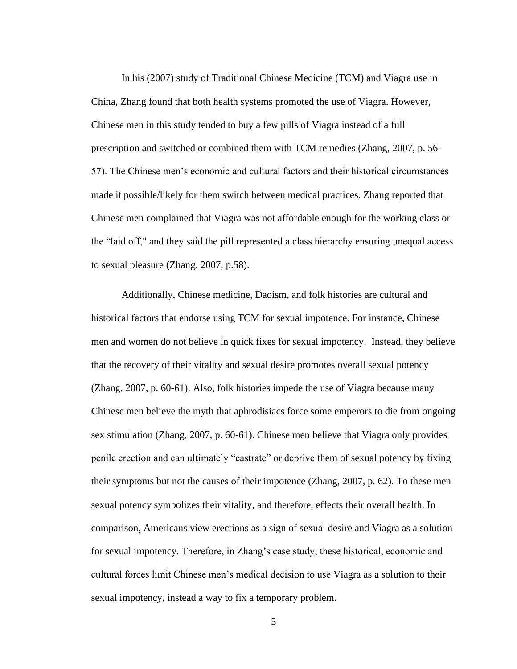In his (2007) study of Traditional Chinese Medicine (TCM) and Viagra use in China, Zhang found that both health systems promoted the use of Viagra. However, Chinese men in this study tended to buy a few pills of Viagra instead of a full prescription and switched or combined them with TCM remedies (Zhang, 2007, p. 56- 57). The Chinese men's economic and cultural factors and their historical circumstances made it possible/likely for them switch between medical practices. Zhang reported that Chinese men complained that Viagra was not affordable enough for the working class or the "laid off," and they said the pill represented a class hierarchy ensuring unequal access to sexual pleasure (Zhang, 2007, p.58).

Additionally, Chinese medicine, Daoism, and folk histories are cultural and historical factors that endorse using TCM for sexual impotence. For instance, Chinese men and women do not believe in quick fixes for sexual impotency. Instead, they believe that the recovery of their vitality and sexual desire promotes overall sexual potency (Zhang, 2007, p. 60-61). Also, folk histories impede the use of Viagra because many Chinese men believe the myth that aphrodisiacs force some emperors to die from ongoing sex stimulation (Zhang, 2007, p. 60-61). Chinese men believe that Viagra only provides penile erection and can ultimately "castrate" or deprive them of sexual potency by fixing their symptoms but not the causes of their impotence (Zhang, 2007, p. 62). To these men sexual potency symbolizes their vitality, and therefore, effects their overall health. In comparison, Americans view erections as a sign of sexual desire and Viagra as a solution for sexual impotency. Therefore, in Zhang's case study, these historical, economic and cultural forces limit Chinese men's medical decision to use Viagra as a solution to their sexual impotency, instead a way to fix a temporary problem.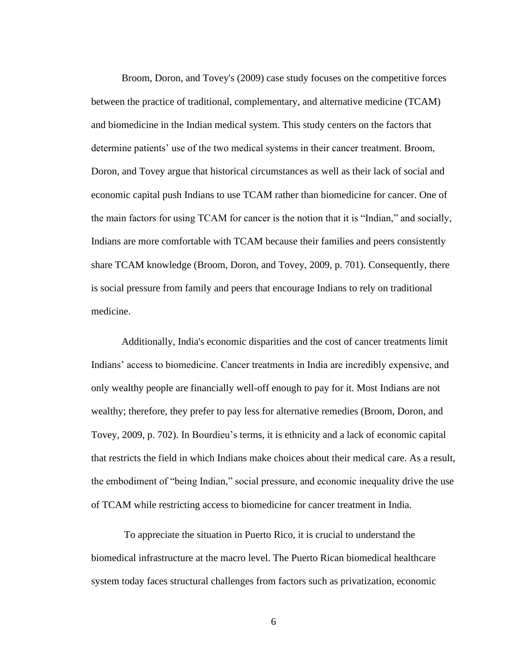Broom, Doron, and Tovey's (2009) case study focuses on the competitive forces between the practice of traditional, complementary, and alternative medicine (TCAM) and biomedicine in the Indian medical system. This study centers on the factors that determine patients' use of the two medical systems in their cancer treatment. Broom, Doron, and Tovey argue that historical circumstances as well as their lack of social and economic capital push Indians to use TCAM rather than biomedicine for cancer. One of the main factors for using TCAM for cancer is the notion that it is "Indian," and socially, Indians are more comfortable with TCAM because their families and peers consistently share TCAM knowledge (Broom, Doron, and Tovey, 2009, p. 701). Consequently, there is social pressure from family and peers that encourage Indians to rely on traditional medicine.

Additionally, India's economic disparities and the cost of cancer treatments limit Indians' access to biomedicine. Cancer treatments in India are incredibly expensive, and only wealthy people are financially well-off enough to pay for it. Most Indians are not wealthy; therefore, they prefer to pay less for alternative remedies (Broom, Doron, and Tovey, 2009, p. 702). In Bourdieu's terms, it is ethnicity and a lack of economic capital that restricts the field in which Indians make choices about their medical care. As a result, the embodiment of "being Indian," social pressure, and economic inequality drive the use of TCAM while restricting access to biomedicine for cancer treatment in India.

To appreciate the situation in Puerto Rico, it is crucial to understand the biomedical infrastructure at the macro level. The Puerto Rican biomedical healthcare system today faces structural challenges from factors such as privatization, economic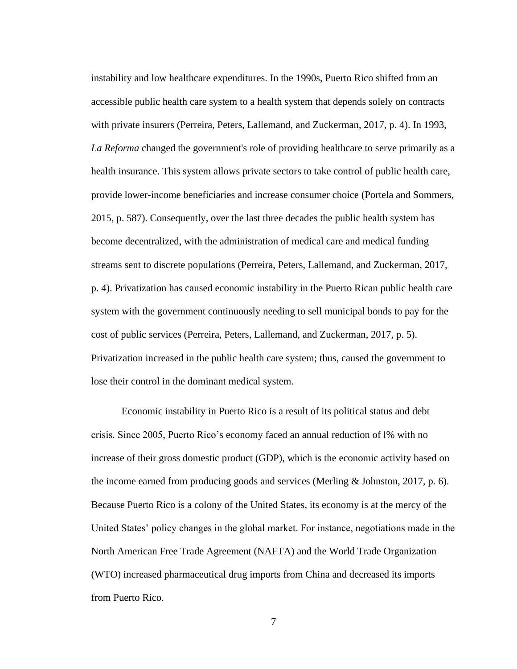instability and low healthcare expenditures. In the 1990s, Puerto Rico shifted from an accessible public health care system to a health system that depends solely on contracts with private insurers (Perreira, Peters, Lallemand, and Zuckerman, 2017, p. 4). In 1993, *La Reforma* changed the government's role of providing healthcare to serve primarily as a health insurance. This system allows private sectors to take control of public health care, provide lower-income beneficiaries and increase consumer choice (Portela and Sommers, 2015, p. 587). Consequently, over the last three decades the public health system has become decentralized, with the administration of medical care and medical funding streams sent to discrete populations (Perreira, Peters, Lallemand, and Zuckerman, 2017, p. 4). Privatization has caused economic instability in the Puerto Rican public health care system with the government continuously needing to sell municipal bonds to pay for the cost of public services (Perreira, Peters, Lallemand, and Zuckerman, 2017, p. 5). Privatization increased in the public health care system; thus, caused the government to lose their control in the dominant medical system.

Economic instability in Puerto Rico is a result of its political status and debt crisis. Since 2005, Puerto Rico's economy faced an annual reduction of l% with no increase of their gross domestic product (GDP), which is the economic activity based on the income earned from producing goods and services (Merling & Johnston, 2017, p. 6). Because Puerto Rico is a colony of the United States, its economy is at the mercy of the United States' policy changes in the global market. For instance, negotiations made in the North American Free Trade Agreement (NAFTA) and the World Trade Organization (WTO) increased pharmaceutical drug imports from China and decreased its imports from Puerto Rico.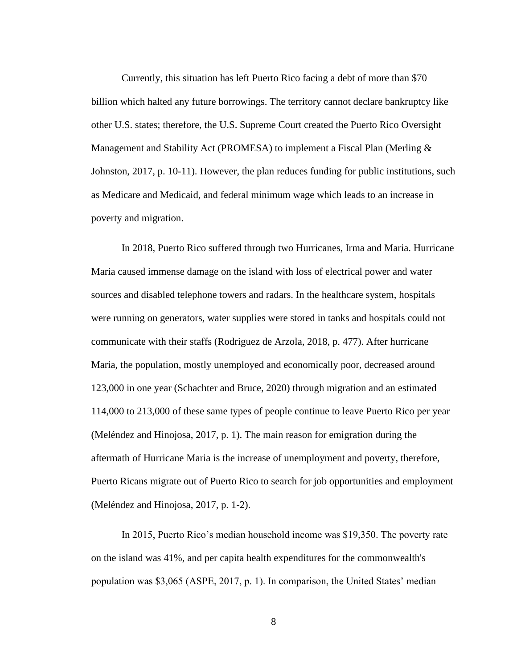Currently, this situation has left Puerto Rico facing a debt of more than \$70 billion which halted any future borrowings. The territory cannot declare bankruptcy like other U.S. states; therefore, the U.S. Supreme Court created the Puerto Rico Oversight Management and Stability Act (PROMESA) to implement a Fiscal Plan (Merling & Johnston, 2017, p. 10-11). However, the plan reduces funding for public institutions, such as Medicare and Medicaid, and federal minimum wage which leads to an increase in poverty and migration.

In 2018, Puerto Rico suffered through two Hurricanes, Irma and Maria. Hurricane Maria caused immense damage on the island with loss of electrical power and water sources and disabled telephone towers and radars. In the healthcare system, hospitals were running on generators, water supplies were stored in tanks and hospitals could not communicate with their staffs (Rodriguez de Arzola, 2018, p. 477). After hurricane Maria, the population, mostly unemployed and economically poor, decreased around 123,000 in one year (Schachter and Bruce, 2020) through migration and an estimated 114,000 to 213,000 of these same types of people continue to leave Puerto Rico per year (Meléndez and Hinojosa, 2017, p. 1). The main reason for emigration during the aftermath of Hurricane Maria is the increase of unemployment and poverty, therefore, Puerto Ricans migrate out of Puerto Rico to search for job opportunities and employment (Meléndez and Hinojosa, 2017, p. 1-2).

In 2015, Puerto Rico's median household income was \$19,350. The poverty rate on the island was 41%, and per capita health expenditures for the commonwealth's population was \$3,065 (ASPE, 2017, p. 1). In comparison, the United States' median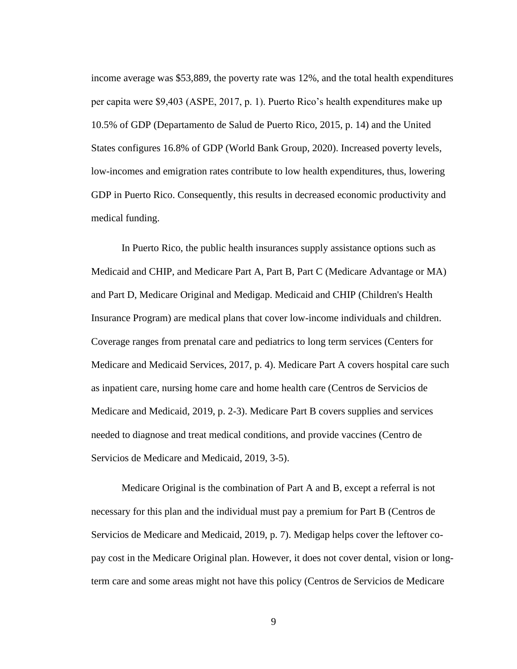income average was \$53,889, the poverty rate was 12%, and the total health expenditures per capita were \$9,403 (ASPE, 2017, p. 1). Puerto Rico's health expenditures make up 10.5% of GDP (Departamento de Salud de Puerto Rico, 2015, p. 14) and the United States configures 16.8% of GDP (World Bank Group, 2020). Increased poverty levels, low-incomes and emigration rates contribute to low health expenditures, thus, lowering GDP in Puerto Rico. Consequently, this results in decreased economic productivity and medical funding.

In Puerto Rico, the public health insurances supply assistance options such as Medicaid and CHIP, and Medicare Part A, Part B, Part C (Medicare Advantage or MA) and Part D, Medicare Original and Medigap. Medicaid and CHIP (Children's Health Insurance Program) are medical plans that cover low-income individuals and children. Coverage ranges from prenatal care and pediatrics to long term services (Centers for Medicare and Medicaid Services, 2017, p. 4). Medicare Part A covers hospital care such as inpatient care, nursing home care and home health care (Centros de Servicios de Medicare and Medicaid, 2019, p. 2-3). Medicare Part B covers supplies and services needed to diagnose and treat medical conditions, and provide vaccines (Centro de Servicios de Medicare and Medicaid, 2019, 3-5).

Medicare Original is the combination of Part A and B, except a referral is not necessary for this plan and the individual must pay a premium for Part B (Centros de Servicios de Medicare and Medicaid, 2019, p. 7). Medigap helps cover the leftover copay cost in the Medicare Original plan. However, it does not cover dental, vision or longterm care and some areas might not have this policy (Centros de Servicios de Medicare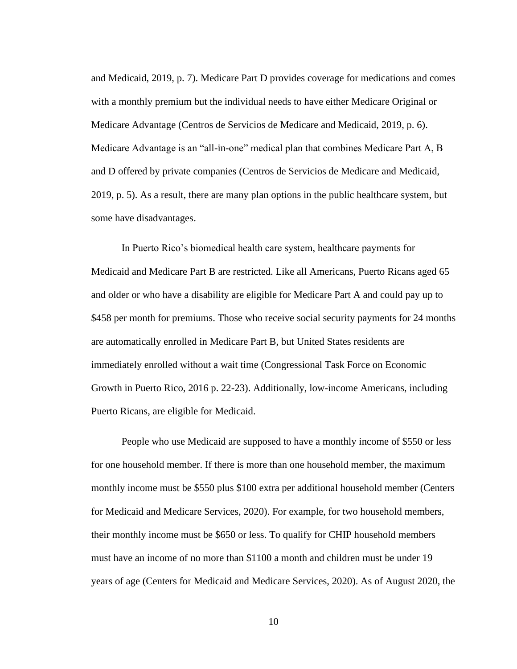and Medicaid, 2019, p. 7). Medicare Part D provides coverage for medications and comes with a monthly premium but the individual needs to have either Medicare Original or Medicare Advantage (Centros de Servicios de Medicare and Medicaid, 2019, p. 6). Medicare Advantage is an "all-in-one" medical plan that combines Medicare Part A, B and D offered by private companies (Centros de Servicios de Medicare and Medicaid, 2019, p. 5). As a result, there are many plan options in the public healthcare system, but some have disadvantages.

In Puerto Rico's biomedical health care system, healthcare payments for Medicaid and Medicare Part B are restricted. Like all Americans, Puerto Ricans aged 65 and older or who have a disability are eligible for Medicare Part A and could pay up to \$458 per month for premiums. Those who receive social security payments for 24 months are automatically enrolled in Medicare Part B, but United States residents are immediately enrolled without a wait time (Congressional Task Force on Economic Growth in Puerto Rico, 2016 p. 22-23). Additionally, low-income Americans, including Puerto Ricans, are eligible for Medicaid.

People who use Medicaid are supposed to have a monthly income of \$550 or less for one household member. If there is more than one household member, the maximum monthly income must be \$550 plus \$100 extra per additional household member (Centers for Medicaid and Medicare Services, 2020). For example, for two household members, their monthly income must be \$650 or less. To qualify for CHIP household members must have an income of no more than \$1100 a month and children must be under 19 years of age (Centers for Medicaid and Medicare Services, 2020). As of August 2020, the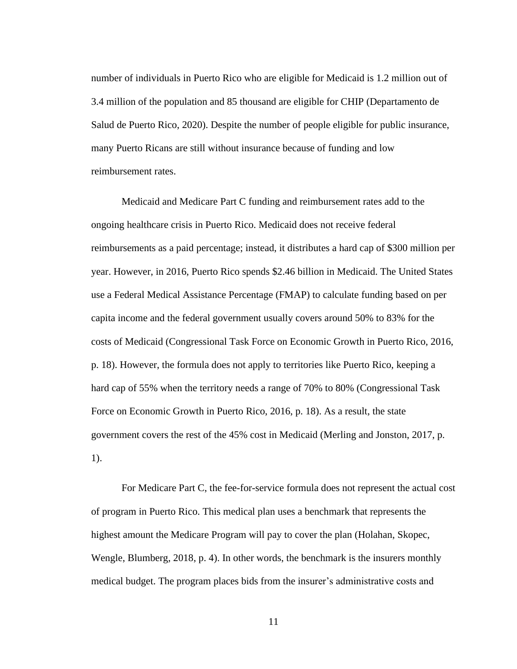number of individuals in Puerto Rico who are eligible for Medicaid is 1.2 million out of 3.4 million of the population and 85 thousand are eligible for CHIP (Departamento de Salud de Puerto Rico, 2020). Despite the number of people eligible for public insurance, many Puerto Ricans are still without insurance because of funding and low reimbursement rates.

Medicaid and Medicare Part C funding and reimbursement rates add to the ongoing healthcare crisis in Puerto Rico. Medicaid does not receive federal reimbursements as a paid percentage; instead, it distributes a hard cap of \$300 million per year. However, in 2016, Puerto Rico spends \$2.46 billion in Medicaid. The United States use a Federal Medical Assistance Percentage (FMAP) to calculate funding based on per capita income and the federal government usually covers around 50% to 83% for the costs of Medicaid (Congressional Task Force on Economic Growth in Puerto Rico, 2016, p. 18). However, the formula does not apply to territories like Puerto Rico, keeping a hard cap of 55% when the territory needs a range of 70% to 80% (Congressional Task Force on Economic Growth in Puerto Rico, 2016, p. 18). As a result, the state government covers the rest of the 45% cost in Medicaid (Merling and Jonston, 2017, p. 1).

For Medicare Part C, the fee-for-service formula does not represent the actual cost of program in Puerto Rico. This medical plan uses a benchmark that represents the highest amount the Medicare Program will pay to cover the plan (Holahan, Skopec, Wengle, Blumberg, 2018, p. 4). In other words, the benchmark is the insurers monthly medical budget. The program places bids from the insurer's administrative costs and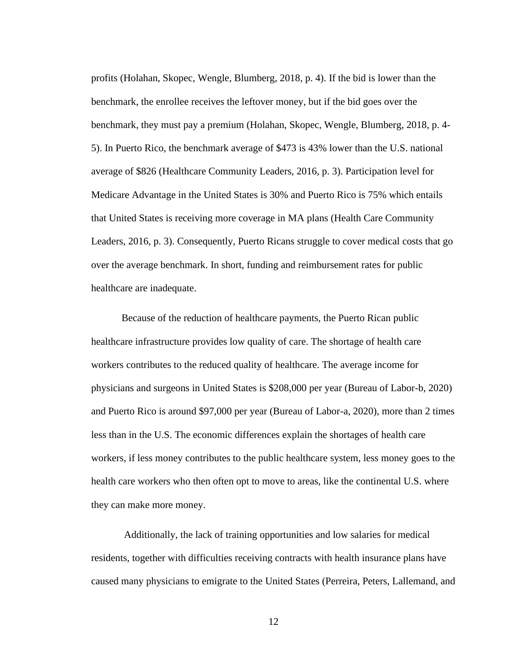profits (Holahan, Skopec, Wengle, Blumberg, 2018, p. 4). If the bid is lower than the benchmark, the enrollee receives the leftover money, but if the bid goes over the benchmark, they must pay a premium (Holahan, Skopec, Wengle, Blumberg, 2018, p. 4- 5). In Puerto Rico, the benchmark average of \$473 is 43% lower than the U.S. national average of \$826 (Healthcare Community Leaders, 2016, p. 3). Participation level for Medicare Advantage in the United States is 30% and Puerto Rico is 75% which entails that United States is receiving more coverage in MA plans (Health Care Community Leaders, 2016, p. 3). Consequently, Puerto Ricans struggle to cover medical costs that go over the average benchmark. In short, funding and reimbursement rates for public healthcare are inadequate.

Because of the reduction of healthcare payments, the Puerto Rican public healthcare infrastructure provides low quality of care. The shortage of health care workers contributes to the reduced quality of healthcare. The average income for physicians and surgeons in United States is \$208,000 per year (Bureau of Labor-b, 2020) and Puerto Rico is around \$97,000 per year (Bureau of Labor-a, 2020), more than 2 times less than in the U.S. The economic differences explain the shortages of health care workers, if less money contributes to the public healthcare system, less money goes to the health care workers who then often opt to move to areas, like the continental U.S. where they can make more money.

Additionally, the lack of training opportunities and low salaries for medical residents, together with difficulties receiving contracts with health insurance plans have caused many physicians to emigrate to the United States (Perreira, Peters, Lallemand, and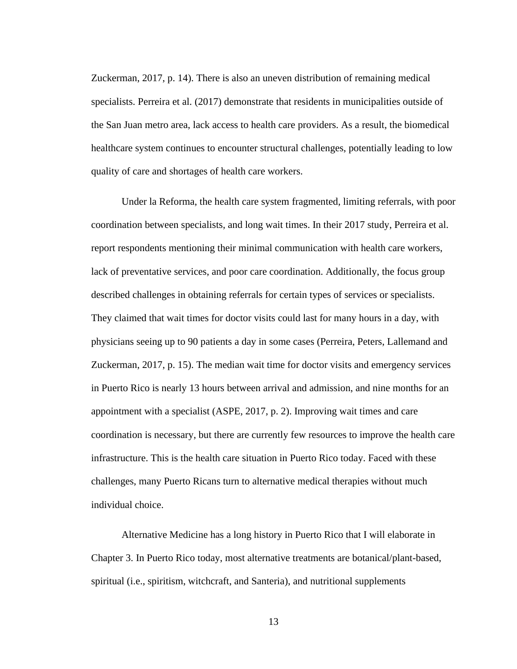Zuckerman, 2017, p. 14). There is also an uneven distribution of remaining medical specialists. Perreira et al. (2017) demonstrate that residents in municipalities outside of the San Juan metro area, lack access to health care providers. As a result, the biomedical healthcare system continues to encounter structural challenges, potentially leading to low quality of care and shortages of health care workers.

Under la Reforma, the health care system fragmented, limiting referrals, with poor coordination between specialists, and long wait times. In their 2017 study, Perreira et al. report respondents mentioning their minimal communication with health care workers, lack of preventative services, and poor care coordination. Additionally, the focus group described challenges in obtaining referrals for certain types of services or specialists. They claimed that wait times for doctor visits could last for many hours in a day, with physicians seeing up to 90 patients a day in some cases (Perreira, Peters, Lallemand and Zuckerman, 2017, p. 15). The median wait time for doctor visits and emergency services in Puerto Rico is nearly 13 hours between arrival and admission, and nine months for an appointment with a specialist (ASPE, 2017, p. 2). Improving wait times and care coordination is necessary, but there are currently few resources to improve the health care infrastructure. This is the health care situation in Puerto Rico today. Faced with these challenges, many Puerto Ricans turn to alternative medical therapies without much individual choice.

Alternative Medicine has a long history in Puerto Rico that I will elaborate in Chapter 3. In Puerto Rico today, most alternative treatments are botanical/plant-based, spiritual (i.e., spiritism, witchcraft, and Santeria), and nutritional supplements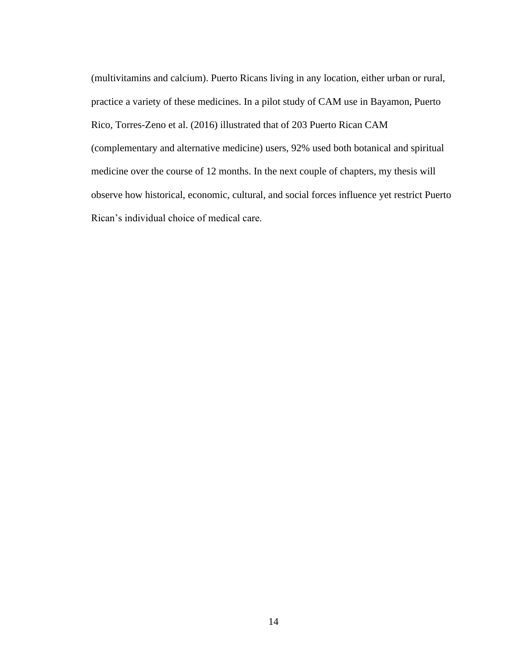(multivitamins and calcium). Puerto Ricans living in any location, either urban or rural, practice a variety of these medicines. In a pilot study of CAM use in Bayamon, Puerto Rico, Torres-Zeno et al. (2016) illustrated that of 203 Puerto Rican CAM (complementary and alternative medicine) users, 92% used both botanical and spiritual medicine over the course of 12 months. In the next couple of chapters, my thesis will observe how historical, economic, cultural, and social forces influence yet restrict Puerto Rican's individual choice of medical care.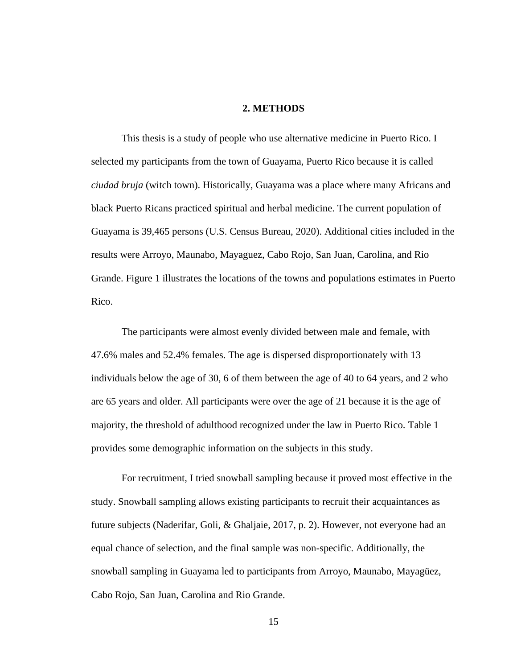#### **2. METHODS**

This thesis is a study of people who use alternative medicine in Puerto Rico. I selected my participants from the town of Guayama, Puerto Rico because it is called *ciudad bruja* (witch town). Historically, Guayama was a place where many Africans and black Puerto Ricans practiced spiritual and herbal medicine. The current population of Guayama is 39,465 persons (U.S. Census Bureau, 2020). Additional cities included in the results were Arroyo, Maunabo, Mayaguez, Cabo Rojo, San Juan, Carolina, and Rio Grande. Figure 1 illustrates the locations of the towns and populations estimates in Puerto Rico.

The participants were almost evenly divided between male and female, with 47.6% males and 52.4% females. The age is dispersed disproportionately with 13 individuals below the age of 30, 6 of them between the age of 40 to 64 years, and 2 who are 65 years and older. All participants were over the age of 21 because it is the age of majority, the threshold of adulthood recognized under the law in Puerto Rico. Table 1 provides some demographic information on the subjects in this study.

For recruitment, I tried snowball sampling because it proved most effective in the study. Snowball sampling allows existing participants to recruit their acquaintances as future subjects (Naderifar, Goli, & Ghaljaie, 2017, p. 2). However, not everyone had an equal chance of selection, and the final sample was non-specific. Additionally, the snowball sampling in Guayama led to participants from Arroyo, Maunabo, Mayagüez, Cabo Rojo, San Juan, Carolina and Rio Grande.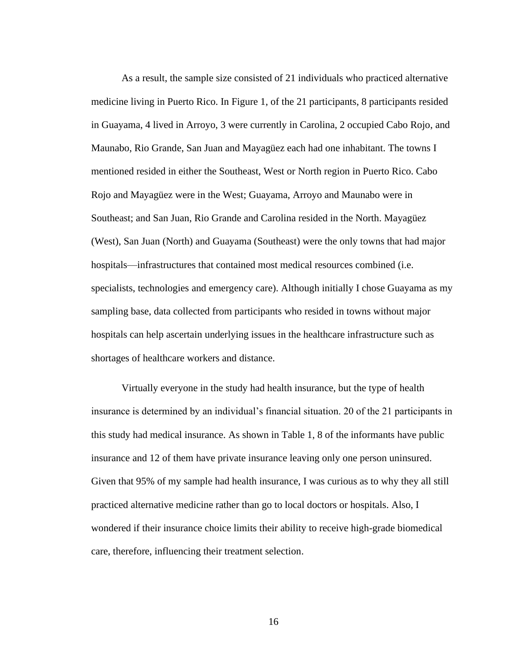As a result, the sample size consisted of 21 individuals who practiced alternative medicine living in Puerto Rico. In Figure 1, of the 21 participants, 8 participants resided in Guayama, 4 lived in Arroyo, 3 were currently in Carolina, 2 occupied Cabo Rojo, and Maunabo, Rio Grande, San Juan and Mayagüez each had one inhabitant. The towns I mentioned resided in either the Southeast, West or North region in Puerto Rico. Cabo Rojo and Mayagüez were in the West; Guayama, Arroyo and Maunabo were in Southeast; and San Juan, Rio Grande and Carolina resided in the North. Mayagüez (West), San Juan (North) and Guayama (Southeast) were the only towns that had major hospitals—infrastructures that contained most medical resources combined (i.e. specialists, technologies and emergency care). Although initially I chose Guayama as my sampling base, data collected from participants who resided in towns without major hospitals can help ascertain underlying issues in the healthcare infrastructure such as shortages of healthcare workers and distance.

Virtually everyone in the study had health insurance, but the type of health insurance is determined by an individual's financial situation. 20 of the 21 participants in this study had medical insurance. As shown in Table 1, 8 of the informants have public insurance and 12 of them have private insurance leaving only one person uninsured. Given that 95% of my sample had health insurance, I was curious as to why they all still practiced alternative medicine rather than go to local doctors or hospitals. Also, I wondered if their insurance choice limits their ability to receive high-grade biomedical care, therefore, influencing their treatment selection.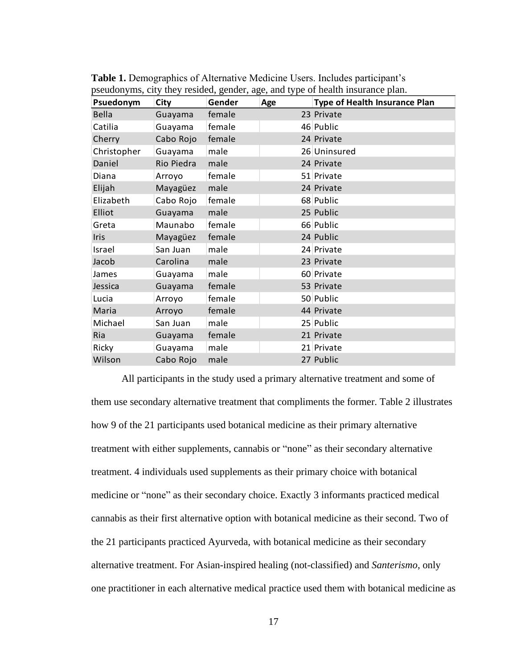| Psuedonym   | <b>City</b> | Gender | Age | <b>Type of Health Insurance Plan</b> |
|-------------|-------------|--------|-----|--------------------------------------|
| Bella       | Guayama     | female |     | 23 Private                           |
| Catilia     | Guayama     | female |     | 46 Public                            |
| Cherry      | Cabo Rojo   | female |     | 24 Private                           |
| Christopher | Guayama     | male   |     | 26 Uninsured                         |
| Daniel      | Rio Piedra  | male   |     | 24 Private                           |
| Diana       | Arroyo      | female |     | 51 Private                           |
| Elijah      | Mayagüez    | male   |     | 24 Private                           |
| Elizabeth   | Cabo Rojo   | female |     | 68 Public                            |
| Elliot      | Guayama     | male   |     | 25 Public                            |
| Greta       | Maunabo     | female |     | 66 Public                            |
| <b>Iris</b> | Mayagüez    | female |     | 24 Public                            |
| Israel      | San Juan    | male   |     | 24 Private                           |
| Jacob       | Carolina    | male   |     | 23 Private                           |
| James       | Guayama     | male   |     | 60 Private                           |
| Jessica     | Guayama     | female |     | 53 Private                           |
| Lucia       | Arroyo      | female |     | 50 Public                            |
| Maria       | Arroyo      | female |     | 44 Private                           |
| Michael     | San Juan    | male   |     | 25 Public                            |
| Ria         | Guayama     | female |     | 21 Private                           |
| Ricky       | Guayama     | male   |     | 21 Private                           |
| Wilson      | Cabo Rojo   | male   |     | 27 Public                            |

**Table 1.** Demographics of Alternative Medicine Users. Includes participant's pseudonyms, city they resided, gender, age, and type of health insurance plan.

All participants in the study used a primary alternative treatment and some of them use secondary alternative treatment that compliments the former. Table 2 illustrates how 9 of the 21 participants used botanical medicine as their primary alternative treatment with either supplements, cannabis or "none" as their secondary alternative treatment. 4 individuals used supplements as their primary choice with botanical medicine or "none" as their secondary choice. Exactly 3 informants practiced medical cannabis as their first alternative option with botanical medicine as their second. Two of the 21 participants practiced Ayurveda, with botanical medicine as their secondary alternative treatment. For Asian-inspired healing (not-classified) and *Santerismo*, only one practitioner in each alternative medical practice used them with botanical medicine as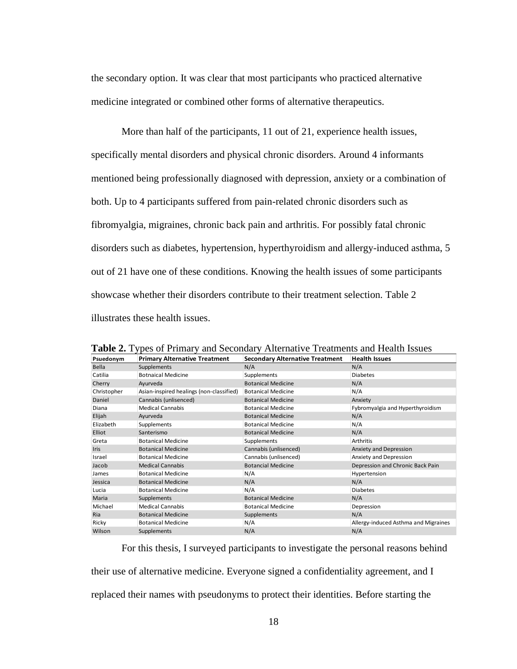the secondary option. It was clear that most participants who practiced alternative medicine integrated or combined other forms of alternative therapeutics.

More than half of the participants, 11 out of 21, experience health issues, specifically mental disorders and physical chronic disorders. Around 4 informants mentioned being professionally diagnosed with depression, anxiety or a combination of both. Up to 4 participants suffered from pain-related chronic disorders such as fibromyalgia, migraines, chronic back pain and arthritis. For possibly fatal chronic disorders such as diabetes, hypertension, hyperthyroidism and allergy-induced asthma, 5 out of 21 have one of these conditions. Knowing the health issues of some participants showcase whether their disorders contribute to their treatment selection. Table 2 illustrates these health issues.

| Psuedonym    | <b>Primary Alternative Treatment</b>     | <b>Secondary Alternative Treatment</b> | <b>Health Issues</b>                 |
|--------------|------------------------------------------|----------------------------------------|--------------------------------------|
| <b>Bella</b> | Supplements                              | N/A                                    | N/A                                  |
| Catilia      | <b>Botnaical Medicine</b>                | Supplements                            | <b>Diabetes</b>                      |
| Cherry       | Ayurveda                                 | <b>Botanical Medicine</b>              | N/A                                  |
| Christopher  | Asian-inspired healings (non-classified) | <b>Botanical Medicine</b>              | N/A                                  |
| Daniel       | Cannabis (unlisenced)                    | <b>Botanical Medicine</b>              | Anxiety                              |
| Diana        | <b>Medical Cannabis</b>                  | <b>Botanical Medicine</b>              | Fybromyalgia and Hyperthyroidism     |
| Elijah       | Ayurveda                                 | <b>Botanical Medicine</b>              | N/A                                  |
| Elizabeth    | Supplements                              | <b>Botanical Medicine</b>              | N/A                                  |
| Elliot       | Santerismo                               | <b>Botanical Medicine</b>              | N/A                                  |
| Greta        | <b>Botanical Medicine</b>                | Supplements                            | Arthritis                            |
| <b>Iris</b>  | <b>Botanical Medicine</b>                | Cannabis (unlisenced)                  | Anxiety and Depression               |
| Israel       | <b>Botanical Medicine</b>                | Cannabis (unlisenced)                  | Anxiety and Depression               |
| Jacob        | <b>Medical Cannabis</b>                  | <b>Botancial Medicine</b>              | Depression and Chronic Back Pain     |
| James        | <b>Botanical Medicine</b>                | N/A                                    | Hypertension                         |
| Jessica      | <b>Botanical Medicine</b>                | N/A                                    | N/A                                  |
| Lucia        | <b>Botanical Medicine</b>                | N/A                                    | <b>Diabetes</b>                      |
| Maria        | Supplements                              | <b>Botanical Medicine</b>              | N/A                                  |
| Michael      | <b>Medical Cannabis</b>                  | <b>Botanical Medicine</b>              | Depression                           |
| Ria          | <b>Botanical Medicine</b>                | Supplements                            | N/A                                  |
| Ricky        | <b>Botanical Medicine</b>                | N/A                                    | Allergy-induced Asthma and Migraines |
| Wilson       | Supplements                              | N/A                                    | N/A                                  |

**Table 2.** Types of Primary and Secondary Alternative Treatments and Health Issues

For this thesis, I surveyed participants to investigate the personal reasons behind their use of alternative medicine. Everyone signed a confidentiality agreement, and I replaced their names with pseudonyms to protect their identities. Before starting the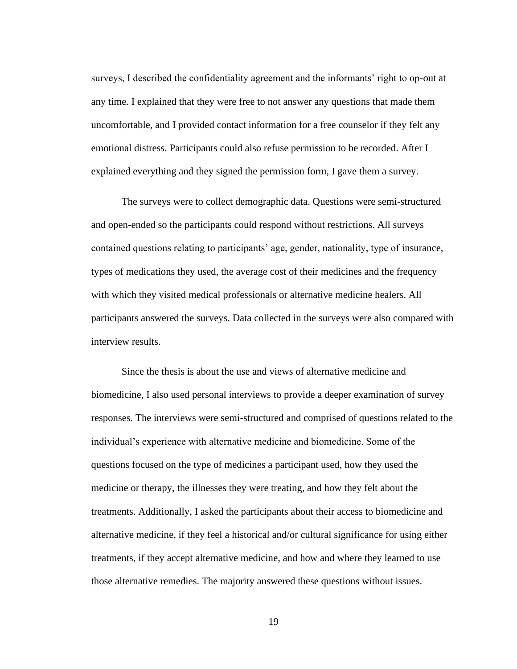surveys, I described the confidentiality agreement and the informants' right to op-out at any time. I explained that they were free to not answer any questions that made them uncomfortable, and I provided contact information for a free counselor if they felt any emotional distress. Participants could also refuse permission to be recorded. After I explained everything and they signed the permission form, I gave them a survey.

The surveys were to collect demographic data. Questions were semi-structured and open-ended so the participants could respond without restrictions. All surveys contained questions relating to participants' age, gender, nationality, type of insurance, types of medications they used, the average cost of their medicines and the frequency with which they visited medical professionals or alternative medicine healers. All participants answered the surveys. Data collected in the surveys were also compared with interview results.

Since the thesis is about the use and views of alternative medicine and biomedicine, I also used personal interviews to provide a deeper examination of survey responses. The interviews were semi-structured and comprised of questions related to the individual's experience with alternative medicine and biomedicine. Some of the questions focused on the type of medicines a participant used, how they used the medicine or therapy, the illnesses they were treating, and how they felt about the treatments. Additionally, I asked the participants about their access to biomedicine and alternative medicine, if they feel a historical and/or cultural significance for using either treatments, if they accept alternative medicine, and how and where they learned to use those alternative remedies. The majority answered these questions without issues.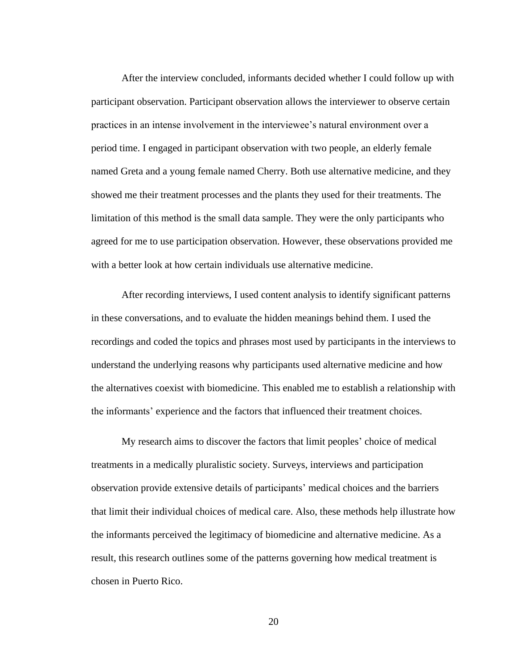After the interview concluded, informants decided whether I could follow up with participant observation. Participant observation allows the interviewer to observe certain practices in an intense involvement in the interviewee's natural environment over a period time. I engaged in participant observation with two people, an elderly female named Greta and a young female named Cherry. Both use alternative medicine, and they showed me their treatment processes and the plants they used for their treatments. The limitation of this method is the small data sample. They were the only participants who agreed for me to use participation observation. However, these observations provided me with a better look at how certain individuals use alternative medicine.

After recording interviews, I used content analysis to identify significant patterns in these conversations, and to evaluate the hidden meanings behind them. I used the recordings and coded the topics and phrases most used by participants in the interviews to understand the underlying reasons why participants used alternative medicine and how the alternatives coexist with biomedicine. This enabled me to establish a relationship with the informants' experience and the factors that influenced their treatment choices.

My research aims to discover the factors that limit peoples' choice of medical treatments in a medically pluralistic society. Surveys, interviews and participation observation provide extensive details of participants' medical choices and the barriers that limit their individual choices of medical care. Also, these methods help illustrate how the informants perceived the legitimacy of biomedicine and alternative medicine. As a result, this research outlines some of the patterns governing how medical treatment is chosen in Puerto Rico.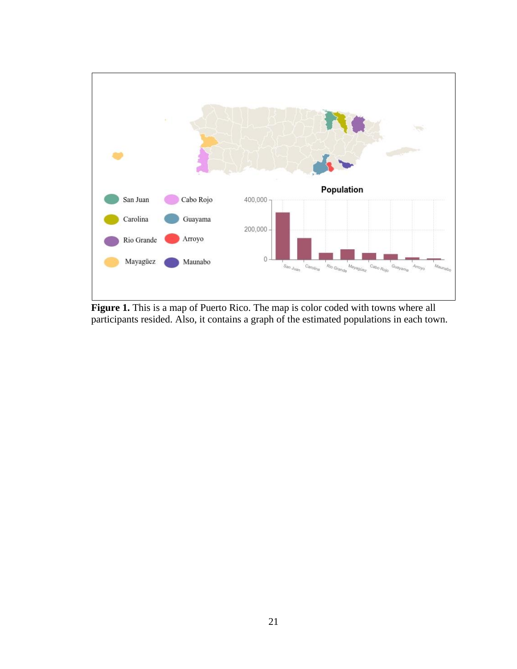

**Figure 1.** This is a map of Puerto Rico. The map is color coded with towns where all participants resided. Also, it contains a graph of the estimated populations in each town.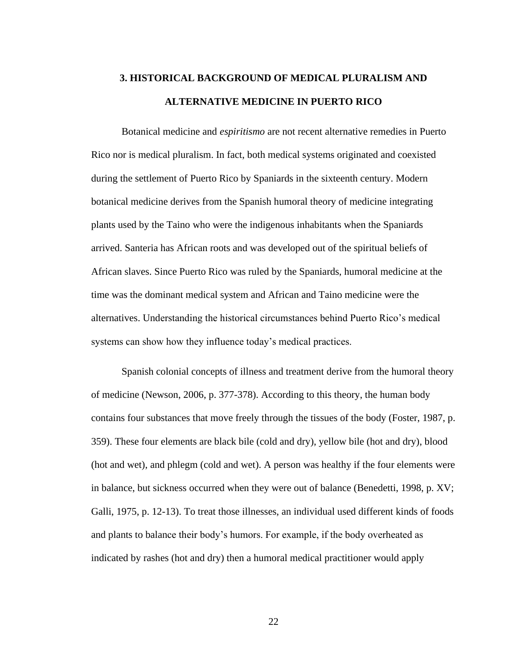# **3. HISTORICAL BACKGROUND OF MEDICAL PLURALISM AND ALTERNATIVE MEDICINE IN PUERTO RICO**

Botanical medicine and *espiritismo* are not recent alternative remedies in Puerto Rico nor is medical pluralism. In fact, both medical systems originated and coexisted during the settlement of Puerto Rico by Spaniards in the sixteenth century. Modern botanical medicine derives from the Spanish humoral theory of medicine integrating plants used by the Taino who were the indigenous inhabitants when the Spaniards arrived. Santeria has African roots and was developed out of the spiritual beliefs of African slaves. Since Puerto Rico was ruled by the Spaniards, humoral medicine at the time was the dominant medical system and African and Taino medicine were the alternatives. Understanding the historical circumstances behind Puerto Rico's medical systems can show how they influence today's medical practices.

Spanish colonial concepts of illness and treatment derive from the humoral theory of medicine (Newson, 2006, p. 377-378). According to this theory, the human body contains four substances that move freely through the tissues of the body (Foster, 1987, p. 359). These four elements are black bile (cold and dry), yellow bile (hot and dry), blood (hot and wet), and phlegm (cold and wet). A person was healthy if the four elements were in balance, but sickness occurred when they were out of balance (Benedetti, 1998, p. XV; Galli, 1975, p. 12-13). To treat those illnesses, an individual used different kinds of foods and plants to balance their body's humors. For example, if the body overheated as indicated by rashes (hot and dry) then a humoral medical practitioner would apply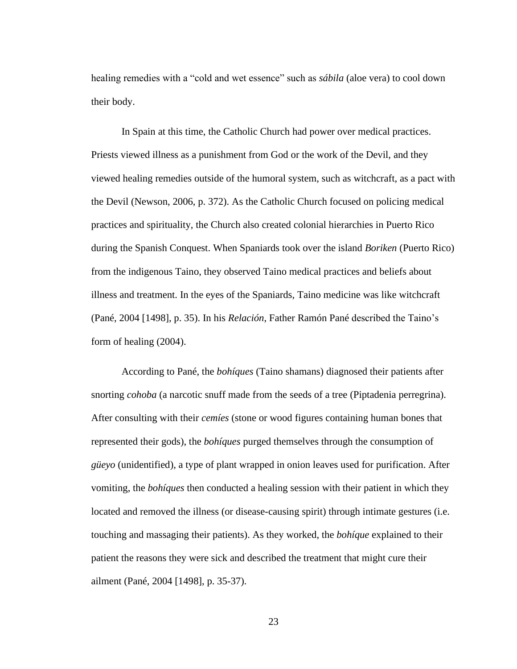healing remedies with a "cold and wet essence" such as *sábila* (aloe vera) to cool down their body.

In Spain at this time, the Catholic Church had power over medical practices. Priests viewed illness as a punishment from God or the work of the Devil, and they viewed healing remedies outside of the humoral system, such as witchcraft, as a pact with the Devil (Newson, 2006, p. 372). As the Catholic Church focused on policing medical practices and spirituality, the Church also created colonial hierarchies in Puerto Rico during the Spanish Conquest. When Spaniards took over the island *Boriken* (Puerto Rico) from the indigenous Taino, they observed Taino medical practices and beliefs about illness and treatment. In the eyes of the Spaniards, Taino medicine was like witchcraft (Pané, 2004 [1498], p. 35). In his *Relación*, Father Ramón Pané described the Taino's form of healing (2004).

According to Pané, the *bohíques* (Taino shamans) diagnosed their patients after snorting *cohoba* (a narcotic snuff made from the seeds of a tree (Piptadenia perregrina). After consulting with their *cemíes* (stone or wood figures containing human bones that represented their gods), the *bohíques* purged themselves through the consumption of *güeyo* (unidentified), a type of plant wrapped in onion leaves used for purification. After vomiting, the *bohíques* then conducted a healing session with their patient in which they located and removed the illness (or disease-causing spirit) through intimate gestures (i.e. touching and massaging their patients). As they worked, the *bohíque* explained to their patient the reasons they were sick and described the treatment that might cure their ailment (Pané, 2004 [1498], p. 35-37).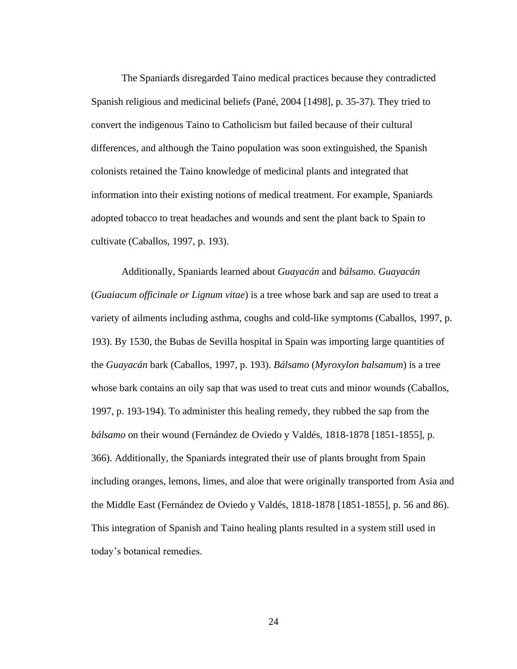The Spaniards disregarded Taino medical practices because they contradicted Spanish religious and medicinal beliefs (Pané, 2004 [1498], p. 35-37). They tried to convert the indigenous Taino to Catholicism but failed because of their cultural differences, and although the Taino population was soon extinguished, the Spanish colonists retained the Taino knowledge of medicinal plants and integrated that information into their existing notions of medical treatment. For example, Spaniards adopted tobacco to treat headaches and wounds and sent the plant back to Spain to cultivate (Caballos, 1997, p. 193).

Additionally, Spaniards learned about *Guayacán* and *bálsamo. Guayacán*  (*Guaiacum officinale or Lignum vitae*) is a tree whose bark and sap are used to treat a variety of ailments including asthma, coughs and cold-like symptoms (Caballos, 1997, p. 193). By 1530, the Bubas de Sevilla hospital in Spain was importing large quantities of the *Guayacán* bark (Caballos, 1997, p. 193). *Bálsamo* (*Myroxylon balsamum*) is a tree whose bark contains an oily sap that was used to treat cuts and minor wounds (Caballos, 1997, p. 193-194). To administer this healing remedy, they rubbed the sap from the *bálsamo* on their wound (Fernández de Oviedo y Valdés, 1818-1878 [1851-1855], p. 366). Additionally, the Spaniards integrated their use of plants brought from Spain including oranges, lemons, limes, and aloe that were originally transported from Asia and the Middle East (Fernández de Oviedo y Valdés, 1818-1878 [1851-1855], p. 56 and 86). This integration of Spanish and Taino healing plants resulted in a system still used in today's botanical remedies.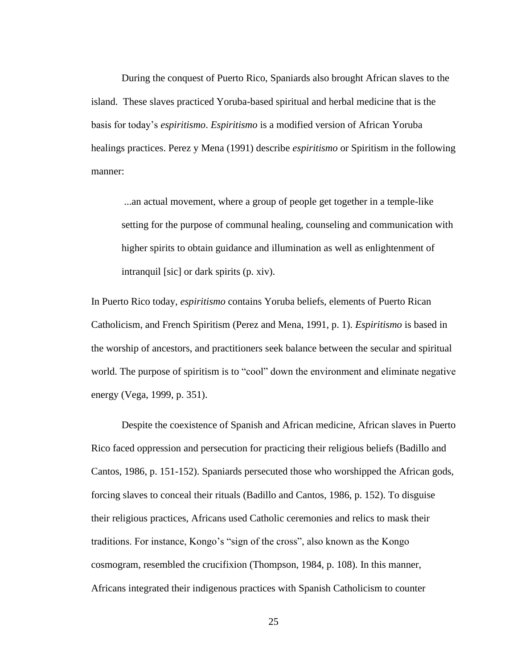During the conquest of Puerto Rico, Spaniards also brought African slaves to the island. These slaves practiced Yoruba-based spiritual and herbal medicine that is the basis for today's *espiritismo*. *Espiritismo* is a modified version of African Yoruba healings practices. Perez y Mena (1991) describe *espiritismo* or Spiritism in the following manner:

...an actual movement, where a group of people get together in a temple-like setting for the purpose of communal healing, counseling and communication with higher spirits to obtain guidance and illumination as well as enlightenment of intranquil [sic] or dark spirits (p. xiv).

In Puerto Rico today, *espiritismo* contains Yoruba beliefs, elements of Puerto Rican Catholicism, and French Spiritism (Perez and Mena, 1991, p. 1). *Espiritismo* is based in the worship of ancestors, and practitioners seek balance between the secular and spiritual world. The purpose of spiritism is to "cool" down the environment and eliminate negative energy (Vega, 1999, p. 351).

Despite the coexistence of Spanish and African medicine, African slaves in Puerto Rico faced oppression and persecution for practicing their religious beliefs (Badillo and Cantos, 1986, p. 151-152). Spaniards persecuted those who worshipped the African gods, forcing slaves to conceal their rituals (Badillo and Cantos, 1986, p. 152). To disguise their religious practices, Africans used Catholic ceremonies and relics to mask their traditions. For instance, Kongo's "sign of the cross", also known as the Kongo cosmogram, resembled the crucifixion (Thompson, 1984, p. 108). In this manner, Africans integrated their indigenous practices with Spanish Catholicism to counter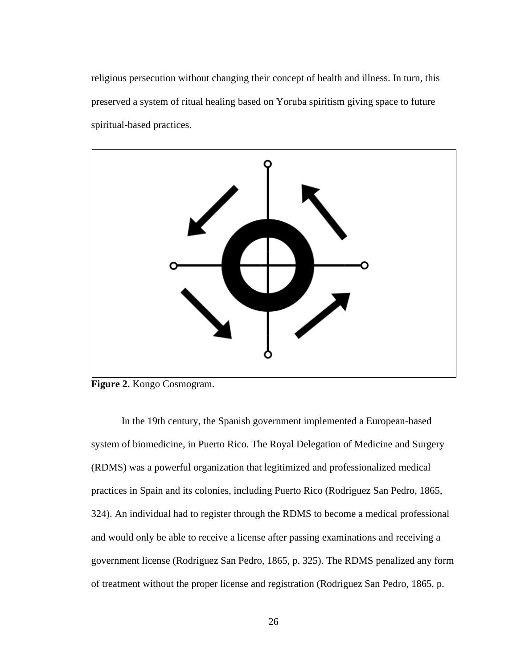religious persecution without changing their concept of health and illness. In turn, this preserved a system of ritual healing based on Yoruba spiritism giving space to future spiritual-based practices.



**Figure 2.** Kongo Cosmogram.

In the 19th century, the Spanish government implemented a European-based system of biomedicine, in Puerto Rico. The Royal Delegation of Medicine and Surgery (RDMS) was a powerful organization that legitimized and professionalized medical practices in Spain and its colonies, including Puerto Rico (Rodriguez San Pedro, 1865, 324). An individual had to register through the RDMS to become a medical professional and would only be able to receive a license after passing examinations and receiving a government license (Rodriguez San Pedro, 1865, p. 325). The RDMS penalized any form of treatment without the proper license and registration (Rodriguez San Pedro, 1865, p.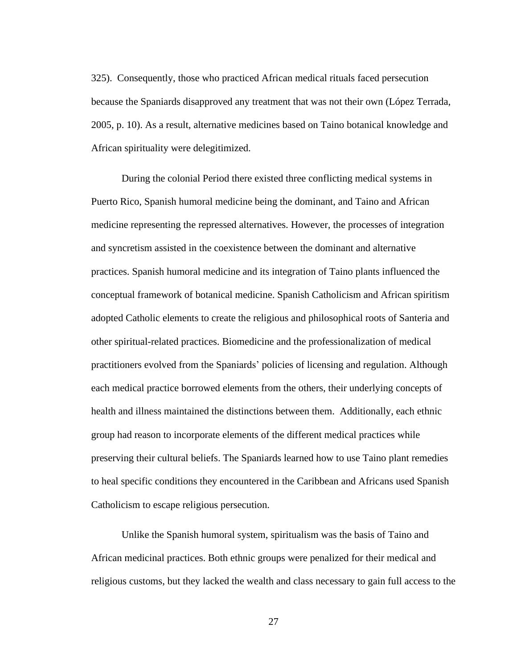325). Consequently, those who practiced African medical rituals faced persecution because the Spaniards disapproved any treatment that was not their own (López Terrada, 2005, p. 10). As a result, alternative medicines based on Taino botanical knowledge and African spirituality were delegitimized.

During the colonial Period there existed three conflicting medical systems in Puerto Rico, Spanish humoral medicine being the dominant, and Taino and African medicine representing the repressed alternatives. However, the processes of integration and syncretism assisted in the coexistence between the dominant and alternative practices. Spanish humoral medicine and its integration of Taino plants influenced the conceptual framework of botanical medicine. Spanish Catholicism and African spiritism adopted Catholic elements to create the religious and philosophical roots of Santeria and other spiritual-related practices. Biomedicine and the professionalization of medical practitioners evolved from the Spaniards' policies of licensing and regulation. Although each medical practice borrowed elements from the others, their underlying concepts of health and illness maintained the distinctions between them. Additionally, each ethnic group had reason to incorporate elements of the different medical practices while preserving their cultural beliefs. The Spaniards learned how to use Taino plant remedies to heal specific conditions they encountered in the Caribbean and Africans used Spanish Catholicism to escape religious persecution.

Unlike the Spanish humoral system, spiritualism was the basis of Taino and African medicinal practices. Both ethnic groups were penalized for their medical and religious customs, but they lacked the wealth and class necessary to gain full access to the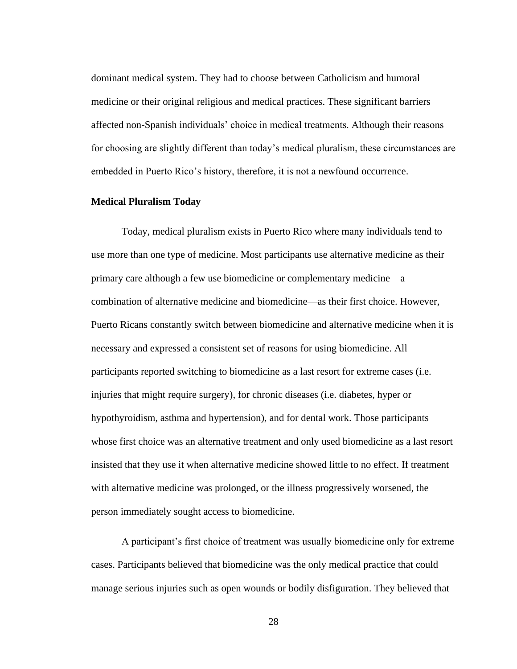dominant medical system. They had to choose between Catholicism and humoral medicine or their original religious and medical practices. These significant barriers affected non-Spanish individuals' choice in medical treatments. Although their reasons for choosing are slightly different than today's medical pluralism, these circumstances are embedded in Puerto Rico's history, therefore, it is not a newfound occurrence.

#### **Medical Pluralism Today**

Today, medical pluralism exists in Puerto Rico where many individuals tend to use more than one type of medicine. Most participants use alternative medicine as their primary care although a few use biomedicine or complementary medicine—a combination of alternative medicine and biomedicine—as their first choice. However, Puerto Ricans constantly switch between biomedicine and alternative medicine when it is necessary and expressed a consistent set of reasons for using biomedicine. All participants reported switching to biomedicine as a last resort for extreme cases (i.e. injuries that might require surgery), for chronic diseases (i.e. diabetes, hyper or hypothyroidism, asthma and hypertension), and for dental work. Those participants whose first choice was an alternative treatment and only used biomedicine as a last resort insisted that they use it when alternative medicine showed little to no effect. If treatment with alternative medicine was prolonged, or the illness progressively worsened, the person immediately sought access to biomedicine.

A participant's first choice of treatment was usually biomedicine only for extreme cases. Participants believed that biomedicine was the only medical practice that could manage serious injuries such as open wounds or bodily disfiguration. They believed that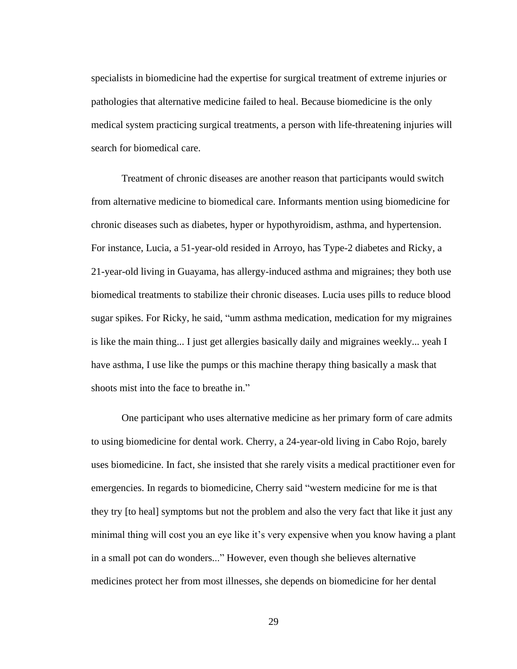specialists in biomedicine had the expertise for surgical treatment of extreme injuries or pathologies that alternative medicine failed to heal. Because biomedicine is the only medical system practicing surgical treatments, a person with life-threatening injuries will search for biomedical care.

Treatment of chronic diseases are another reason that participants would switch from alternative medicine to biomedical care. Informants mention using biomedicine for chronic diseases such as diabetes, hyper or hypothyroidism, asthma, and hypertension. For instance, Lucia, a 51-year-old resided in Arroyo, has Type-2 diabetes and Ricky, a 21-year-old living in Guayama, has allergy-induced asthma and migraines; they both use biomedical treatments to stabilize their chronic diseases. Lucia uses pills to reduce blood sugar spikes. For Ricky, he said, "umm asthma medication, medication for my migraines is like the main thing... I just get allergies basically daily and migraines weekly... yeah I have asthma, I use like the pumps or this machine therapy thing basically a mask that shoots mist into the face to breathe in."

One participant who uses alternative medicine as her primary form of care admits to using biomedicine for dental work. Cherry, a 24-year-old living in Cabo Rojo, barely uses biomedicine. In fact, she insisted that she rarely visits a medical practitioner even for emergencies. In regards to biomedicine, Cherry said "western medicine for me is that they try [to heal] symptoms but not the problem and also the very fact that like it just any minimal thing will cost you an eye like it's very expensive when you know having a plant in a small pot can do wonders..." However, even though she believes alternative medicines protect her from most illnesses, she depends on biomedicine for her dental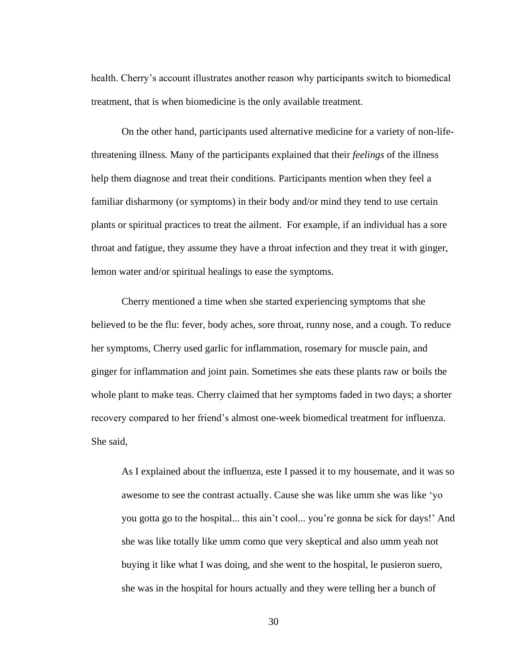health. Cherry's account illustrates another reason why participants switch to biomedical treatment, that is when biomedicine is the only available treatment.

On the other hand, participants used alternative medicine for a variety of non-lifethreatening illness. Many of the participants explained that their *feelings* of the illness help them diagnose and treat their conditions*.* Participants mention when they feel a familiar disharmony (or symptoms) in their body and/or mind they tend to use certain plants or spiritual practices to treat the ailment. For example, if an individual has a sore throat and fatigue, they assume they have a throat infection and they treat it with ginger, lemon water and/or spiritual healings to ease the symptoms.

Cherry mentioned a time when she started experiencing symptoms that she believed to be the flu: fever, body aches, sore throat, runny nose, and a cough. To reduce her symptoms, Cherry used garlic for inflammation, rosemary for muscle pain, and ginger for inflammation and joint pain. Sometimes she eats these plants raw or boils the whole plant to make teas. Cherry claimed that her symptoms faded in two days; a shorter recovery compared to her friend's almost one-week biomedical treatment for influenza. She said,

As I explained about the influenza, este I passed it to my housemate, and it was so awesome to see the contrast actually. Cause she was like umm she was like 'yo you gotta go to the hospital... this ain't cool... you're gonna be sick for days!' And she was like totally like umm como que very skeptical and also umm yeah not buying it like what I was doing, and she went to the hospital, le pusieron suero, she was in the hospital for hours actually and they were telling her a bunch of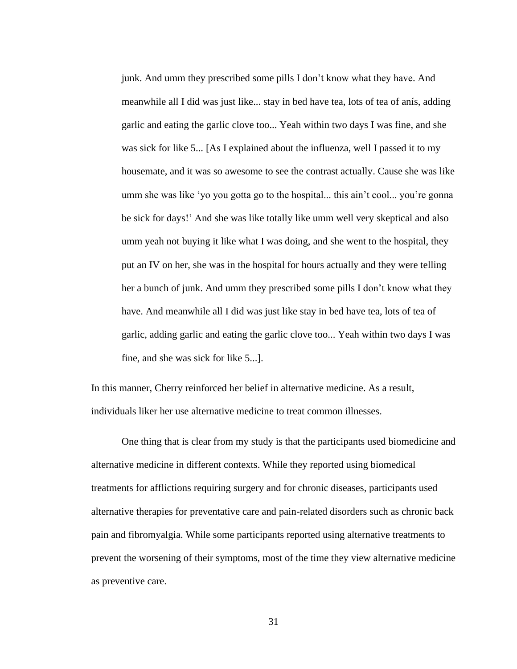junk. And umm they prescribed some pills I don't know what they have. And meanwhile all I did was just like... stay in bed have tea, lots of tea of anís, adding garlic and eating the garlic clove too... Yeah within two days I was fine, and she was sick for like 5... [As I explained about the influenza, well I passed it to my housemate, and it was so awesome to see the contrast actually. Cause she was like umm she was like 'yo you gotta go to the hospital... this ain't cool... you're gonna be sick for days!' And she was like totally like umm well very skeptical and also umm yeah not buying it like what I was doing, and she went to the hospital, they put an IV on her, she was in the hospital for hours actually and they were telling her a bunch of junk. And umm they prescribed some pills I don't know what they have. And meanwhile all I did was just like stay in bed have tea, lots of tea of garlic, adding garlic and eating the garlic clove too... Yeah within two days I was fine, and she was sick for like 5...].

In this manner, Cherry reinforced her belief in alternative medicine. As a result, individuals liker her use alternative medicine to treat common illnesses.

One thing that is clear from my study is that the participants used biomedicine and alternative medicine in different contexts. While they reported using biomedical treatments for afflictions requiring surgery and for chronic diseases, participants used alternative therapies for preventative care and pain-related disorders such as chronic back pain and fibromyalgia. While some participants reported using alternative treatments to prevent the worsening of their symptoms, most of the time they view alternative medicine as preventive care.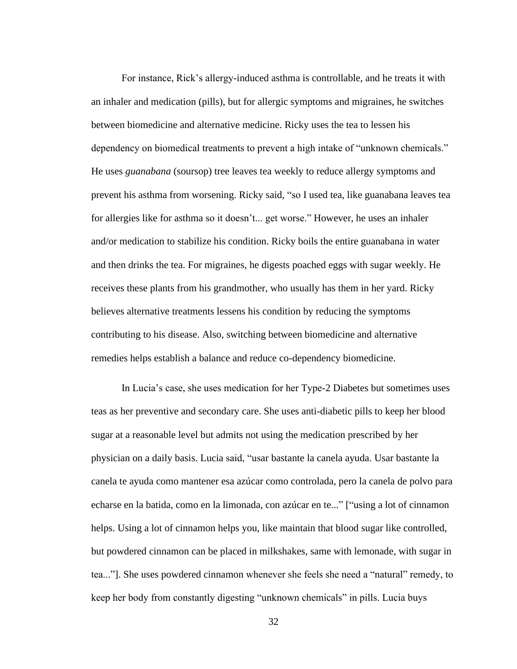For instance, Rick's allergy-induced asthma is controllable, and he treats it with an inhaler and medication (pills), but for allergic symptoms and migraines, he switches between biomedicine and alternative medicine. Ricky uses the tea to lessen his dependency on biomedical treatments to prevent a high intake of "unknown chemicals." He uses *guanabana* (soursop) tree leaves tea weekly to reduce allergy symptoms and prevent his asthma from worsening. Ricky said, "so I used tea, like guanabana leaves tea for allergies like for asthma so it doesn't... get worse." However, he uses an inhaler and/or medication to stabilize his condition. Ricky boils the entire guanabana in water and then drinks the tea. For migraines, he digests poached eggs with sugar weekly. He receives these plants from his grandmother, who usually has them in her yard. Ricky believes alternative treatments lessens his condition by reducing the symptoms contributing to his disease. Also, switching between biomedicine and alternative remedies helps establish a balance and reduce co-dependency biomedicine.

In Lucia's case, she uses medication for her Type-2 Diabetes but sometimes uses teas as her preventive and secondary care. She uses anti-diabetic pills to keep her blood sugar at a reasonable level but admits not using the medication prescribed by her physician on a daily basis. Lucia said, "usar bastante la canela ayuda. Usar bastante la canela te ayuda como mantener esa azúcar como controlada, pero la canela de polvo para echarse en la batida, como en la limonada, con azúcar en te..." ["using a lot of cinnamon helps. Using a lot of cinnamon helps you, like maintain that blood sugar like controlled, but powdered cinnamon can be placed in milkshakes, same with lemonade, with sugar in tea..."]. She uses powdered cinnamon whenever she feels she need a "natural" remedy, to keep her body from constantly digesting "unknown chemicals" in pills. Lucia buys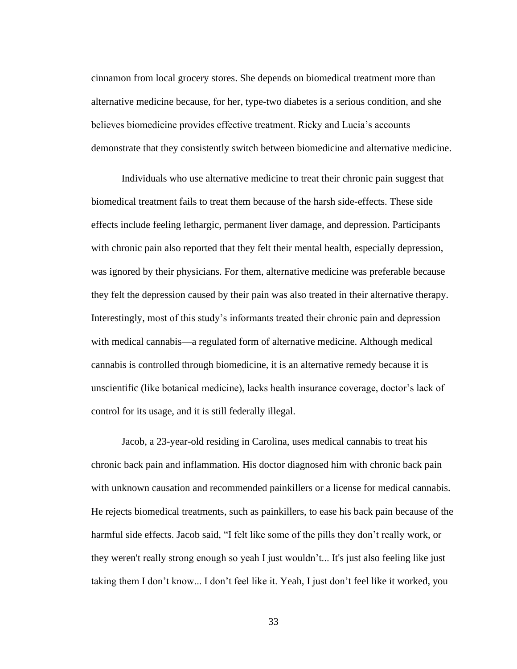cinnamon from local grocery stores. She depends on biomedical treatment more than alternative medicine because, for her, type-two diabetes is a serious condition, and she believes biomedicine provides effective treatment. Ricky and Lucia's accounts demonstrate that they consistently switch between biomedicine and alternative medicine.

Individuals who use alternative medicine to treat their chronic pain suggest that biomedical treatment fails to treat them because of the harsh side-effects. These side effects include feeling lethargic, permanent liver damage, and depression. Participants with chronic pain also reported that they felt their mental health, especially depression, was ignored by their physicians. For them, alternative medicine was preferable because they felt the depression caused by their pain was also treated in their alternative therapy. Interestingly, most of this study's informants treated their chronic pain and depression with medical cannabis—a regulated form of alternative medicine. Although medical cannabis is controlled through biomedicine, it is an alternative remedy because it is unscientific (like botanical medicine), lacks health insurance coverage, doctor's lack of control for its usage, and it is still federally illegal.

Jacob, a 23-year-old residing in Carolina, uses medical cannabis to treat his chronic back pain and inflammation. His doctor diagnosed him with chronic back pain with unknown causation and recommended painkillers or a license for medical cannabis. He rejects biomedical treatments, such as painkillers, to ease his back pain because of the harmful side effects. Jacob said, "I felt like some of the pills they don't really work, or they weren't really strong enough so yeah I just wouldn't... It's just also feeling like just taking them I don't know... I don't feel like it. Yeah, I just don't feel like it worked, you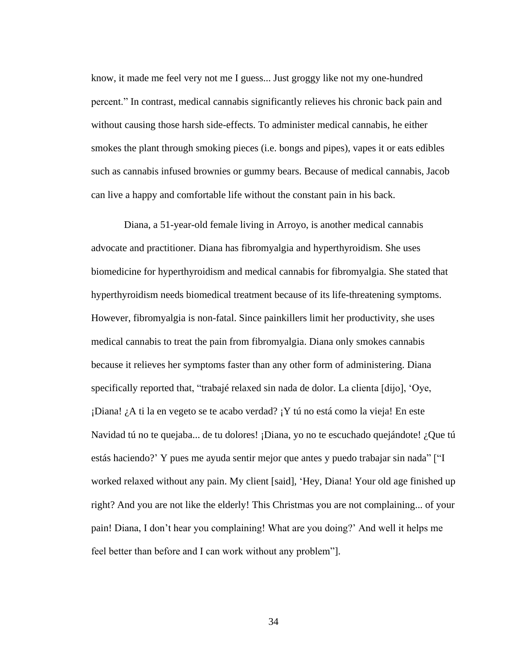know, it made me feel very not me I guess... Just groggy like not my one-hundred percent." In contrast, medical cannabis significantly relieves his chronic back pain and without causing those harsh side-effects. To administer medical cannabis, he either smokes the plant through smoking pieces (i.e. bongs and pipes), vapes it or eats edibles such as cannabis infused brownies or gummy bears. Because of medical cannabis, Jacob can live a happy and comfortable life without the constant pain in his back.

Diana, a 51-year-old female living in Arroyo, is another medical cannabis advocate and practitioner. Diana has fibromyalgia and hyperthyroidism. She uses biomedicine for hyperthyroidism and medical cannabis for fibromyalgia. She stated that hyperthyroidism needs biomedical treatment because of its life-threatening symptoms. However, fibromyalgia is non-fatal. Since painkillers limit her productivity, she uses medical cannabis to treat the pain from fibromyalgia. Diana only smokes cannabis because it relieves her symptoms faster than any other form of administering. Diana specifically reported that, "trabajé relaxed sin nada de dolor. La clienta [dijo], 'Oye, ¡Diana! ¿A ti la en vegeto se te acabo verdad? ¡Y tú no está como la vieja! En este Navidad tú no te quejaba... de tu dolores! ¡Diana, yo no te escuchado quejándote! ¿Que tú estás haciendo?' Y pues me ayuda sentir mejor que antes y puedo trabajar sin nada" ["I worked relaxed without any pain. My client [said], 'Hey, Diana! Your old age finished up right? And you are not like the elderly! This Christmas you are not complaining... of your pain! Diana, I don't hear you complaining! What are you doing?' And well it helps me feel better than before and I can work without any problem"].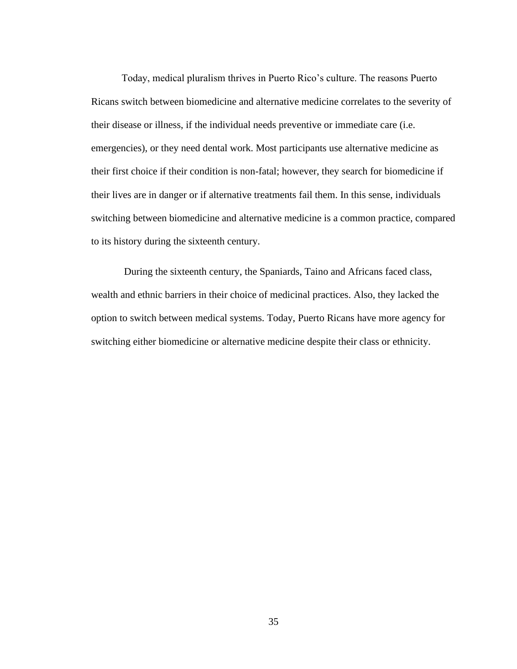Today, medical pluralism thrives in Puerto Rico's culture. The reasons Puerto Ricans switch between biomedicine and alternative medicine correlates to the severity of their disease or illness, if the individual needs preventive or immediate care (i.e. emergencies), or they need dental work. Most participants use alternative medicine as their first choice if their condition is non-fatal; however, they search for biomedicine if their lives are in danger or if alternative treatments fail them. In this sense, individuals switching between biomedicine and alternative medicine is a common practice, compared to its history during the sixteenth century.

During the sixteenth century, the Spaniards, Taino and Africans faced class, wealth and ethnic barriers in their choice of medicinal practices. Also, they lacked the option to switch between medical systems. Today, Puerto Ricans have more agency for switching either biomedicine or alternative medicine despite their class or ethnicity.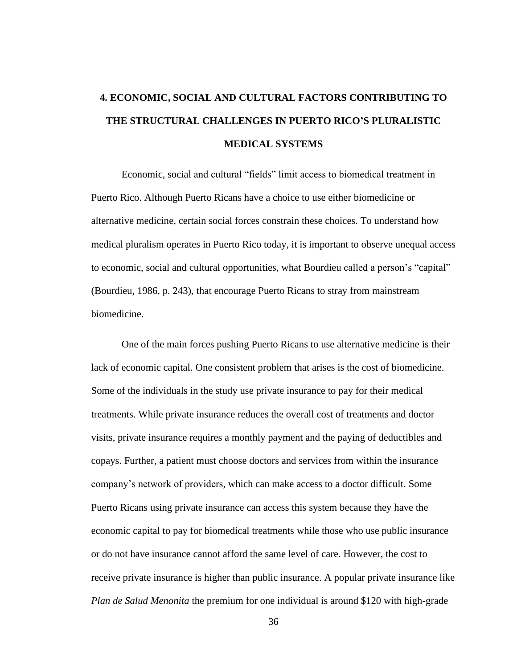## **4. ECONOMIC, SOCIAL AND CULTURAL FACTORS CONTRIBUTING TO THE STRUCTURAL CHALLENGES IN PUERTO RICO'S PLURALISTIC MEDICAL SYSTEMS**

Economic, social and cultural "fields" limit access to biomedical treatment in Puerto Rico. Although Puerto Ricans have a choice to use either biomedicine or alternative medicine, certain social forces constrain these choices. To understand how medical pluralism operates in Puerto Rico today, it is important to observe unequal access to economic, social and cultural opportunities, what Bourdieu called a person's "capital" (Bourdieu, 1986, p. 243), that encourage Puerto Ricans to stray from mainstream biomedicine.

One of the main forces pushing Puerto Ricans to use alternative medicine is their lack of economic capital. One consistent problem that arises is the cost of biomedicine. Some of the individuals in the study use private insurance to pay for their medical treatments. While private insurance reduces the overall cost of treatments and doctor visits, private insurance requires a monthly payment and the paying of deductibles and copays. Further, a patient must choose doctors and services from within the insurance company's network of providers, which can make access to a doctor difficult. Some Puerto Ricans using private insurance can access this system because they have the economic capital to pay for biomedical treatments while those who use public insurance or do not have insurance cannot afford the same level of care. However, the cost to receive private insurance is higher than public insurance. A popular private insurance like *Plan de Salud Menonita* the premium for one individual is around \$120 with high-grade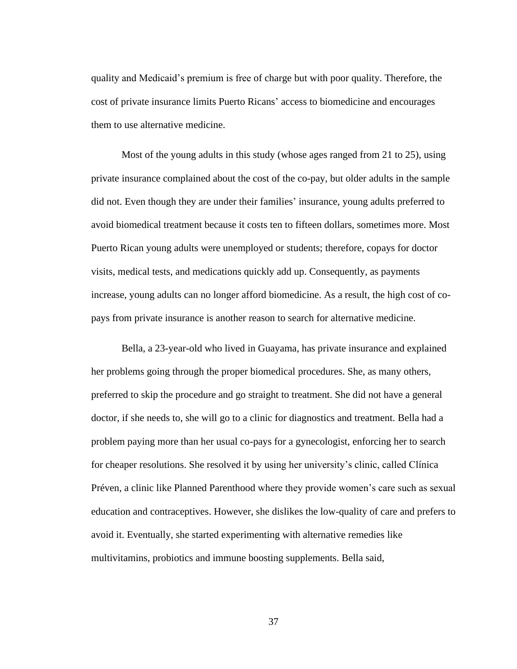quality and Medicaid's premium is free of charge but with poor quality. Therefore, the cost of private insurance limits Puerto Ricans' access to biomedicine and encourages them to use alternative medicine.

Most of the young adults in this study (whose ages ranged from 21 to 25), using private insurance complained about the cost of the co-pay, but older adults in the sample did not. Even though they are under their families' insurance, young adults preferred to avoid biomedical treatment because it costs ten to fifteen dollars, sometimes more. Most Puerto Rican young adults were unemployed or students; therefore, copays for doctor visits, medical tests, and medications quickly add up. Consequently, as payments increase, young adults can no longer afford biomedicine. As a result, the high cost of copays from private insurance is another reason to search for alternative medicine.

Bella, a 23-year-old who lived in Guayama, has private insurance and explained her problems going through the proper biomedical procedures. She, as many others, preferred to skip the procedure and go straight to treatment. She did not have a general doctor, if she needs to, she will go to a clinic for diagnostics and treatment. Bella had a problem paying more than her usual co-pays for a gynecologist, enforcing her to search for cheaper resolutions. She resolved it by using her university's clinic, called Clínica Préven, a clinic like Planned Parenthood where they provide women's care such as sexual education and contraceptives. However, she dislikes the low-quality of care and prefers to avoid it. Eventually, she started experimenting with alternative remedies like multivitamins, probiotics and immune boosting supplements. Bella said,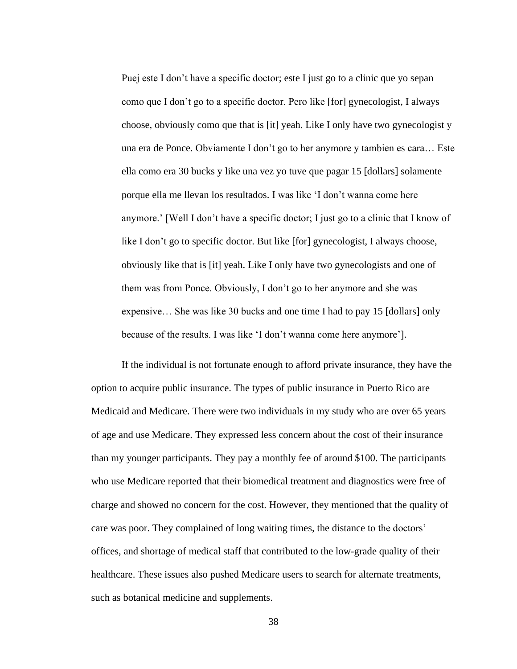Puej este I don't have a specific doctor; este I just go to a clinic que yo sepan como que I don't go to a specific doctor. Pero like [for] gynecologist, I always choose, obviously como que that is [it] yeah. Like I only have two gynecologist y una era de Ponce. Obviamente I don't go to her anymore y tambien es cara… Este ella como era 30 bucks y like una vez yo tuve que pagar 15 [dollars] solamente porque ella me llevan los resultados. I was like 'I don't wanna come here anymore.' [Well I don't have a specific doctor; I just go to a clinic that I know of like I don't go to specific doctor. But like [for] gynecologist, I always choose, obviously like that is [it] yeah. Like I only have two gynecologists and one of them was from Ponce. Obviously, I don't go to her anymore and she was expensive… She was like 30 bucks and one time I had to pay 15 [dollars] only because of the results. I was like 'I don't wanna come here anymore'].

If the individual is not fortunate enough to afford private insurance, they have the option to acquire public insurance. The types of public insurance in Puerto Rico are Medicaid and Medicare. There were two individuals in my study who are over 65 years of age and use Medicare. They expressed less concern about the cost of their insurance than my younger participants. They pay a monthly fee of around \$100. The participants who use Medicare reported that their biomedical treatment and diagnostics were free of charge and showed no concern for the cost. However, they mentioned that the quality of care was poor. They complained of long waiting times, the distance to the doctors' offices, and shortage of medical staff that contributed to the low-grade quality of their healthcare. These issues also pushed Medicare users to search for alternate treatments, such as botanical medicine and supplements.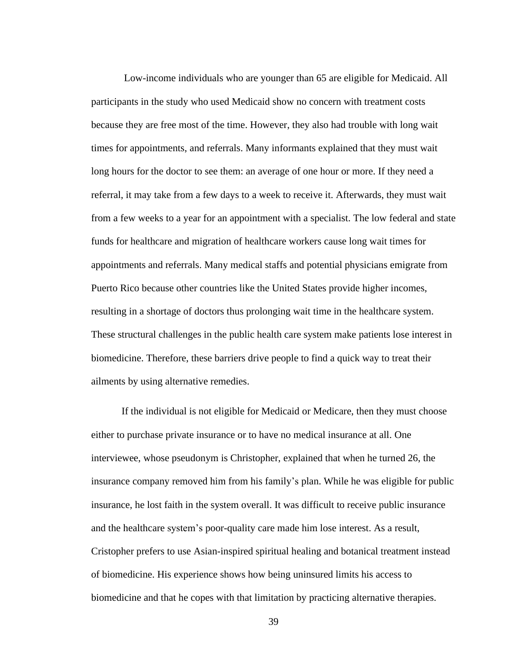Low-income individuals who are younger than 65 are eligible for Medicaid. All participants in the study who used Medicaid show no concern with treatment costs because they are free most of the time. However, they also had trouble with long wait times for appointments, and referrals. Many informants explained that they must wait long hours for the doctor to see them: an average of one hour or more. If they need a referral, it may take from a few days to a week to receive it. Afterwards, they must wait from a few weeks to a year for an appointment with a specialist. The low federal and state funds for healthcare and migration of healthcare workers cause long wait times for appointments and referrals. Many medical staffs and potential physicians emigrate from Puerto Rico because other countries like the United States provide higher incomes, resulting in a shortage of doctors thus prolonging wait time in the healthcare system. These structural challenges in the public health care system make patients lose interest in biomedicine. Therefore, these barriers drive people to find a quick way to treat their ailments by using alternative remedies.

If the individual is not eligible for Medicaid or Medicare, then they must choose either to purchase private insurance or to have no medical insurance at all. One interviewee, whose pseudonym is Christopher, explained that when he turned 26, the insurance company removed him from his family's plan. While he was eligible for public insurance, he lost faith in the system overall. It was difficult to receive public insurance and the healthcare system's poor-quality care made him lose interest. As a result, Cristopher prefers to use Asian-inspired spiritual healing and botanical treatment instead of biomedicine. His experience shows how being uninsured limits his access to biomedicine and that he copes with that limitation by practicing alternative therapies.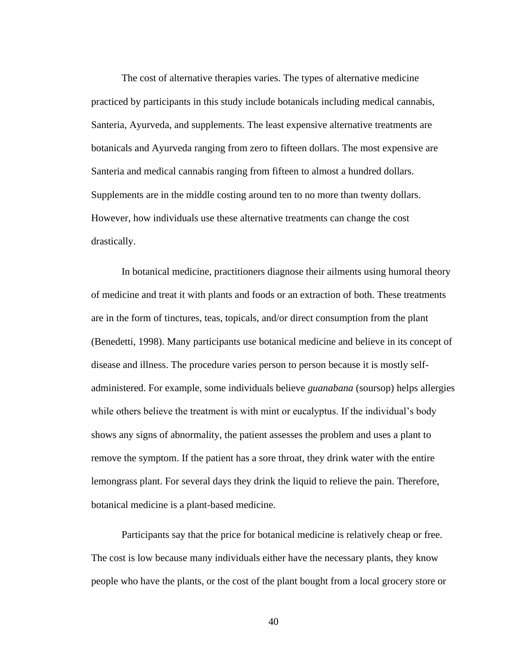The cost of alternative therapies varies. The types of alternative medicine practiced by participants in this study include botanicals including medical cannabis, Santeria, Ayurveda, and supplements. The least expensive alternative treatments are botanicals and Ayurveda ranging from zero to fifteen dollars. The most expensive are Santeria and medical cannabis ranging from fifteen to almost a hundred dollars. Supplements are in the middle costing around ten to no more than twenty dollars. However, how individuals use these alternative treatments can change the cost drastically.

In botanical medicine, practitioners diagnose their ailments using humoral theory of medicine and treat it with plants and foods or an extraction of both. These treatments are in the form of tinctures, teas, topicals, and/or direct consumption from the plant (Benedetti, 1998). Many participants use botanical medicine and believe in its concept of disease and illness. The procedure varies person to person because it is mostly selfadministered. For example, some individuals believe *guanabana* (soursop) helps allergies while others believe the treatment is with mint or eucalyptus. If the individual's body shows any signs of abnormality, the patient assesses the problem and uses a plant to remove the symptom. If the patient has a sore throat, they drink water with the entire lemongrass plant. For several days they drink the liquid to relieve the pain. Therefore, botanical medicine is a plant-based medicine.

Participants say that the price for botanical medicine is relatively cheap or free. The cost is low because many individuals either have the necessary plants, they know people who have the plants, or the cost of the plant bought from a local grocery store or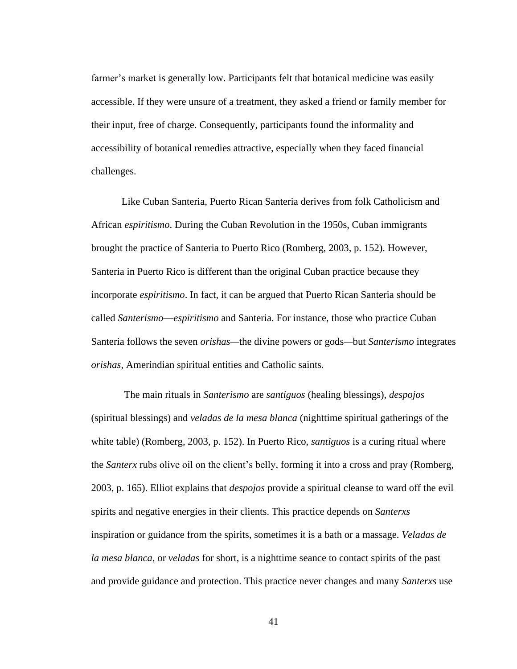farmer's market is generally low. Participants felt that botanical medicine was easily accessible. If they were unsure of a treatment, they asked a friend or family member for their input, free of charge. Consequently, participants found the informality and accessibility of botanical remedies attractive, especially when they faced financial challenges.

Like Cuban Santeria, Puerto Rican Santeria derives from folk Catholicism and African *espiritismo*. During the Cuban Revolution in the 1950s, Cuban immigrants brought the practice of Santeria to Puerto Rico (Romberg, 2003, p. 152). However, Santeria in Puerto Rico is different than the original Cuban practice because they incorporate *espiritismo*. In fact, it can be argued that Puerto Rican Santeria should be called *Santerismo*—*espiritismo* and Santeria. For instance, those who practice Cuban Santeria follows the seven *orishas—*the divine powers or gods*—*but *Santerismo* integrates *orishas*, Amerindian spiritual entities and Catholic saints*.*

The main rituals in *Santerismo* are *santiguos* (healing blessings), *despojos* (spiritual blessings) and *veladas de la mesa blanca* (nighttime spiritual gatherings of the white table) (Romberg, 2003, p. 152). In Puerto Rico, *santiguos* is a curing ritual where the *Santerx* rubs olive oil on the client's belly, forming it into a cross and pray (Romberg, 2003, p. 165). Elliot explains that *despojos* provide a spiritual cleanse to ward off the evil spirits and negative energies in their clients. This practice depends on *Santerxs* inspiration or guidance from the spirits, sometimes it is a bath or a massage. *Veladas de la mesa blanca*, or *veladas* for short, is a nighttime seance to contact spirits of the past and provide guidance and protection. This practice never changes and many *Santerxs* use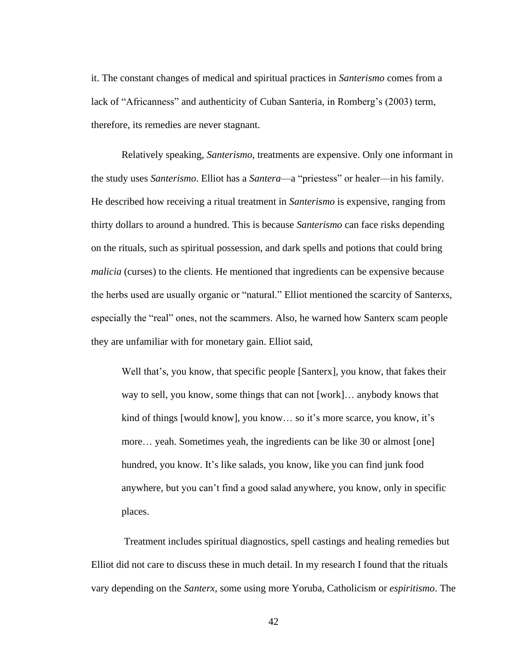it. The constant changes of medical and spiritual practices in *Santerismo* comes from a lack of "Africanness" and authenticity of Cuban Santeria, in Romberg's (2003) term, therefore, its remedies are never stagnant.

Relatively speaking, *Santerismo*, treatments are expensive. Only one informant in the study uses *Santerismo*. Elliot has a *Santera*—a "priestess" or healer—in his family. He described how receiving a ritual treatment in *Santerismo* is expensive, ranging from thirty dollars to around a hundred. This is because *Santerismo* can face risks depending on the rituals, such as spiritual possession, and dark spells and potions that could bring *malicia* (curses) to the clients. He mentioned that ingredients can be expensive because the herbs used are usually organic or "natural." Elliot mentioned the scarcity of Santerxs, especially the "real" ones, not the scammers. Also, he warned how Santerx scam people they are unfamiliar with for monetary gain. Elliot said,

Well that's, you know, that specific people [Santerx], you know, that fakes their way to sell, you know, some things that can not [work]… anybody knows that kind of things [would know], you know… so it's more scarce, you know, it's more… yeah. Sometimes yeah, the ingredients can be like 30 or almost [one] hundred, you know. It's like salads, you know, like you can find junk food anywhere, but you can't find a good salad anywhere, you know, only in specific places.

Treatment includes spiritual diagnostics, spell castings and healing remedies but Elliot did not care to discuss these in much detail. In my research I found that the rituals vary depending on the *Santerx*, some using more Yoruba, Catholicism or *espiritismo*. The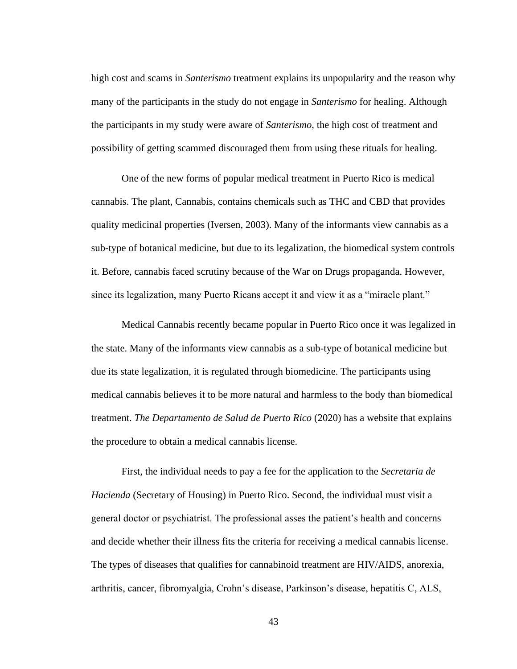high cost and scams in *Santerismo* treatment explains its unpopularity and the reason why many of the participants in the study do not engage in *Santerismo* for healing. Although the participants in my study were aware of *Santerismo*, the high cost of treatment and possibility of getting scammed discouraged them from using these rituals for healing.

One of the new forms of popular medical treatment in Puerto Rico is medical cannabis. The plant, Cannabis, contains chemicals such as THC and CBD that provides quality medicinal properties (Iversen, 2003). Many of the informants view cannabis as a sub-type of botanical medicine, but due to its legalization, the biomedical system controls it. Before, cannabis faced scrutiny because of the War on Drugs propaganda. However, since its legalization, many Puerto Ricans accept it and view it as a "miracle plant."

Medical Cannabis recently became popular in Puerto Rico once it was legalized in the state. Many of the informants view cannabis as a sub-type of botanical medicine but due its state legalization, it is regulated through biomedicine. The participants using medical cannabis believes it to be more natural and harmless to the body than biomedical treatment. *The Departamento de Salud de Puerto Rico* (2020) has a website that explains the procedure to obtain a medical cannabis license.

First, the individual needs to pay a fee for the application to the *Secretaria de Hacienda* (Secretary of Housing) in Puerto Rico. Second, the individual must visit a general doctor or psychiatrist. The professional asses the patient's health and concerns and decide whether their illness fits the criteria for receiving a medical cannabis license. The types of diseases that qualifies for cannabinoid treatment are HIV/AIDS, anorexia, arthritis, cancer, fibromyalgia, Crohn's disease, Parkinson's disease, hepatitis C, ALS,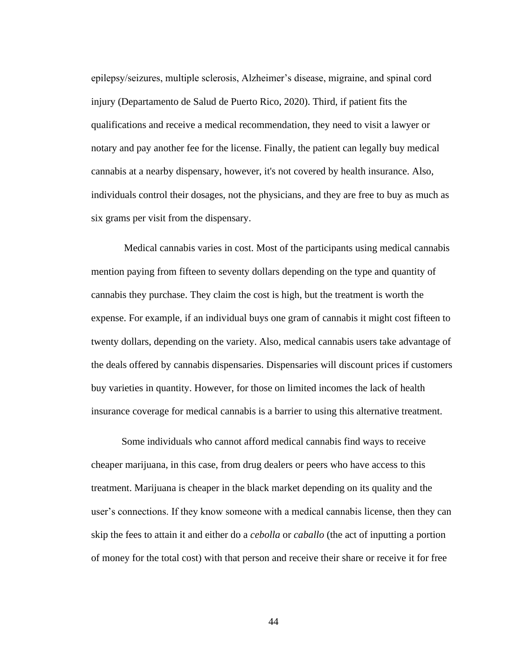epilepsy/seizures, multiple sclerosis, Alzheimer's disease, migraine, and spinal cord injury (Departamento de Salud de Puerto Rico, 2020). Third, if patient fits the qualifications and receive a medical recommendation, they need to visit a lawyer or notary and pay another fee for the license. Finally, the patient can legally buy medical cannabis at a nearby dispensary, however, it's not covered by health insurance. Also, individuals control their dosages, not the physicians, and they are free to buy as much as six grams per visit from the dispensary.

Medical cannabis varies in cost. Most of the participants using medical cannabis mention paying from fifteen to seventy dollars depending on the type and quantity of cannabis they purchase. They claim the cost is high, but the treatment is worth the expense. For example, if an individual buys one gram of cannabis it might cost fifteen to twenty dollars, depending on the variety. Also, medical cannabis users take advantage of the deals offered by cannabis dispensaries. Dispensaries will discount prices if customers buy varieties in quantity. However, for those on limited incomes the lack of health insurance coverage for medical cannabis is a barrier to using this alternative treatment.

Some individuals who cannot afford medical cannabis find ways to receive cheaper marijuana, in this case, from drug dealers or peers who have access to this treatment. Marijuana is cheaper in the black market depending on its quality and the user's connections. If they know someone with a medical cannabis license, then they can skip the fees to attain it and either do a *cebolla* or *caballo* (the act of inputting a portion of money for the total cost) with that person and receive their share or receive it for free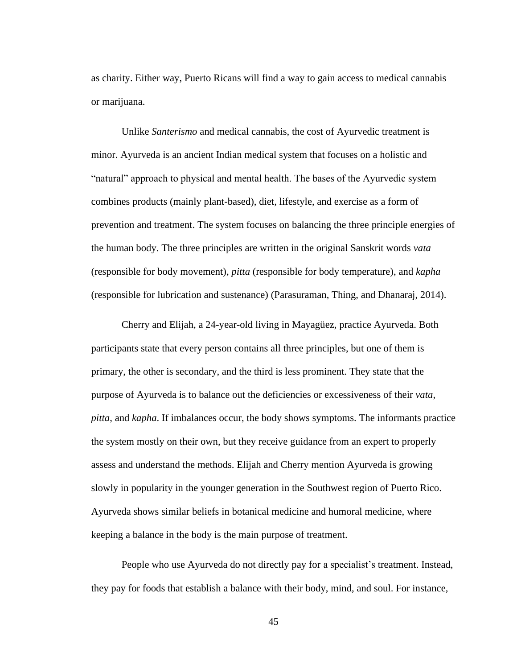as charity. Either way, Puerto Ricans will find a way to gain access to medical cannabis or marijuana.

Unlike *Santerismo* and medical cannabis, the cost of Ayurvedic treatment is minor. Ayurveda is an ancient Indian medical system that focuses on a holistic and "natural" approach to physical and mental health. The bases of the Ayurvedic system combines products (mainly plant-based), diet, lifestyle, and exercise as a form of prevention and treatment. The system focuses on balancing the three principle energies of the human body. The three principles are written in the original Sanskrit words *vata* (responsible for body movement), *pitta* (responsible for body temperature), and *kapha* (responsible for lubrication and sustenance) (Parasuraman, Thing, and Dhanaraj, 2014).

Cherry and Elijah, a 24-year-old living in Mayagüez, practice Ayurveda. Both participants state that every person contains all three principles, but one of them is primary, the other is secondary, and the third is less prominent. They state that the purpose of Ayurveda is to balance out the deficiencies or excessiveness of their *vata*, *pitta*, and *kapha*. If imbalances occur, the body shows symptoms. The informants practice the system mostly on their own, but they receive guidance from an expert to properly assess and understand the methods. Elijah and Cherry mention Ayurveda is growing slowly in popularity in the younger generation in the Southwest region of Puerto Rico. Ayurveda shows similar beliefs in botanical medicine and humoral medicine, where keeping a balance in the body is the main purpose of treatment.

People who use Ayurveda do not directly pay for a specialist's treatment. Instead, they pay for foods that establish a balance with their body, mind, and soul. For instance,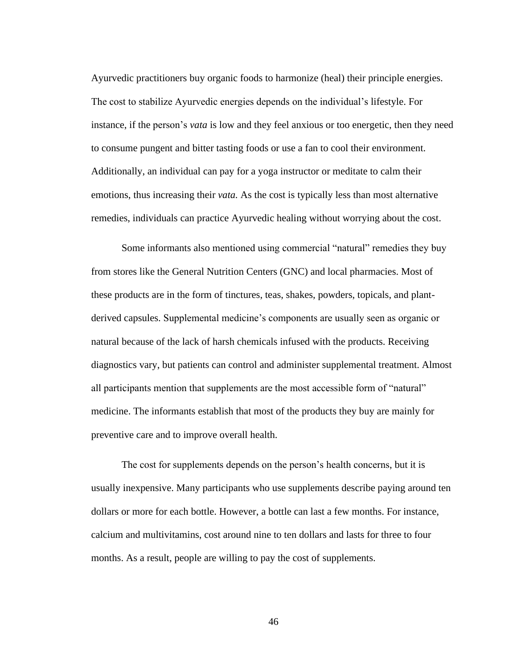Ayurvedic practitioners buy organic foods to harmonize (heal) their principle energies. The cost to stabilize Ayurvedic energies depends on the individual's lifestyle. For instance, if the person's *vata* is low and they feel anxious or too energetic, then they need to consume pungent and bitter tasting foods or use a fan to cool their environment. Additionally, an individual can pay for a yoga instructor or meditate to calm their emotions, thus increasing their *vata.* As the cost is typically less than most alternative remedies, individuals can practice Ayurvedic healing without worrying about the cost.

Some informants also mentioned using commercial "natural" remedies they buy from stores like the General Nutrition Centers (GNC) and local pharmacies. Most of these products are in the form of tinctures, teas, shakes, powders, topicals, and plantderived capsules. Supplemental medicine's components are usually seen as organic or natural because of the lack of harsh chemicals infused with the products. Receiving diagnostics vary, but patients can control and administer supplemental treatment. Almost all participants mention that supplements are the most accessible form of "natural" medicine. The informants establish that most of the products they buy are mainly for preventive care and to improve overall health.

The cost for supplements depends on the person's health concerns, but it is usually inexpensive. Many participants who use supplements describe paying around ten dollars or more for each bottle. However, a bottle can last a few months. For instance, calcium and multivitamins, cost around nine to ten dollars and lasts for three to four months. As a result, people are willing to pay the cost of supplements.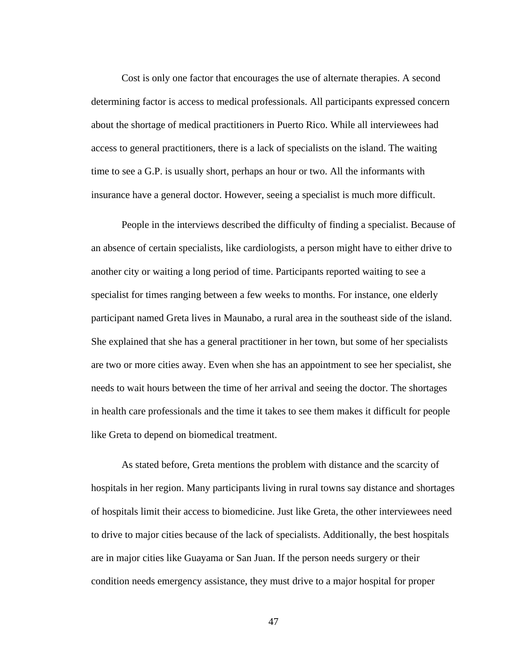Cost is only one factor that encourages the use of alternate therapies. A second determining factor is access to medical professionals. All participants expressed concern about the shortage of medical practitioners in Puerto Rico. While all interviewees had access to general practitioners, there is a lack of specialists on the island. The waiting time to see a G.P. is usually short, perhaps an hour or two. All the informants with insurance have a general doctor. However, seeing a specialist is much more difficult.

People in the interviews described the difficulty of finding a specialist. Because of an absence of certain specialists, like cardiologists, a person might have to either drive to another city or waiting a long period of time. Participants reported waiting to see a specialist for times ranging between a few weeks to months. For instance, one elderly participant named Greta lives in Maunabo, a rural area in the southeast side of the island. She explained that she has a general practitioner in her town, but some of her specialists are two or more cities away. Even when she has an appointment to see her specialist, she needs to wait hours between the time of her arrival and seeing the doctor. The shortages in health care professionals and the time it takes to see them makes it difficult for people like Greta to depend on biomedical treatment.

As stated before, Greta mentions the problem with distance and the scarcity of hospitals in her region. Many participants living in rural towns say distance and shortages of hospitals limit their access to biomedicine. Just like Greta, the other interviewees need to drive to major cities because of the lack of specialists. Additionally, the best hospitals are in major cities like Guayama or San Juan. If the person needs surgery or their condition needs emergency assistance, they must drive to a major hospital for proper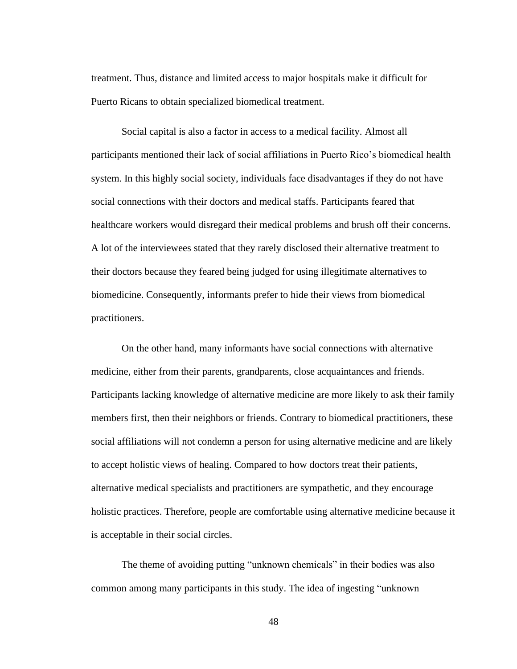treatment. Thus, distance and limited access to major hospitals make it difficult for Puerto Ricans to obtain specialized biomedical treatment.

Social capital is also a factor in access to a medical facility. Almost all participants mentioned their lack of social affiliations in Puerto Rico's biomedical health system. In this highly social society, individuals face disadvantages if they do not have social connections with their doctors and medical staffs. Participants feared that healthcare workers would disregard their medical problems and brush off their concerns. A lot of the interviewees stated that they rarely disclosed their alternative treatment to their doctors because they feared being judged for using illegitimate alternatives to biomedicine. Consequently, informants prefer to hide their views from biomedical practitioners.

On the other hand, many informants have social connections with alternative medicine, either from their parents, grandparents, close acquaintances and friends. Participants lacking knowledge of alternative medicine are more likely to ask their family members first, then their neighbors or friends. Contrary to biomedical practitioners, these social affiliations will not condemn a person for using alternative medicine and are likely to accept holistic views of healing. Compared to how doctors treat their patients, alternative medical specialists and practitioners are sympathetic, and they encourage holistic practices. Therefore, people are comfortable using alternative medicine because it is acceptable in their social circles.

The theme of avoiding putting "unknown chemicals" in their bodies was also common among many participants in this study. The idea of ingesting "unknown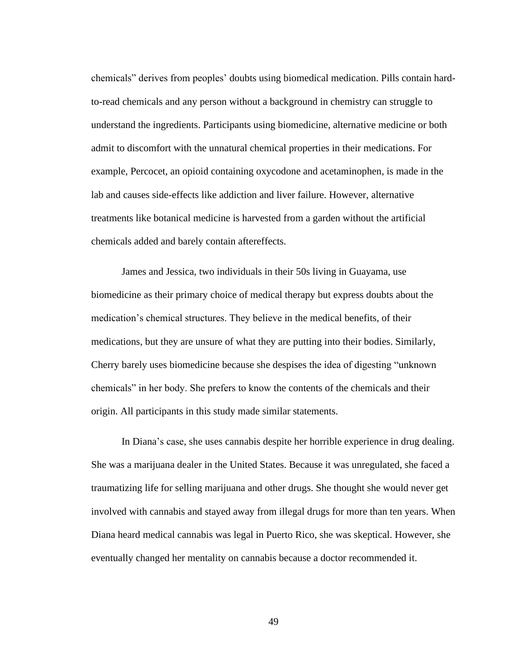chemicals" derives from peoples' doubts using biomedical medication. Pills contain hardto-read chemicals and any person without a background in chemistry can struggle to understand the ingredients. Participants using biomedicine, alternative medicine or both admit to discomfort with the unnatural chemical properties in their medications. For example, Percocet, an opioid containing oxycodone and acetaminophen, is made in the lab and causes side-effects like addiction and liver failure. However, alternative treatments like botanical medicine is harvested from a garden without the artificial chemicals added and barely contain aftereffects.

James and Jessica, two individuals in their 50s living in Guayama, use biomedicine as their primary choice of medical therapy but express doubts about the medication's chemical structures. They believe in the medical benefits, of their medications, but they are unsure of what they are putting into their bodies. Similarly, Cherry barely uses biomedicine because she despises the idea of digesting "unknown chemicals" in her body. She prefers to know the contents of the chemicals and their origin. All participants in this study made similar statements.

In Diana's case, she uses cannabis despite her horrible experience in drug dealing. She was a marijuana dealer in the United States. Because it was unregulated, she faced a traumatizing life for selling marijuana and other drugs. She thought she would never get involved with cannabis and stayed away from illegal drugs for more than ten years. When Diana heard medical cannabis was legal in Puerto Rico, she was skeptical. However, she eventually changed her mentality on cannabis because a doctor recommended it.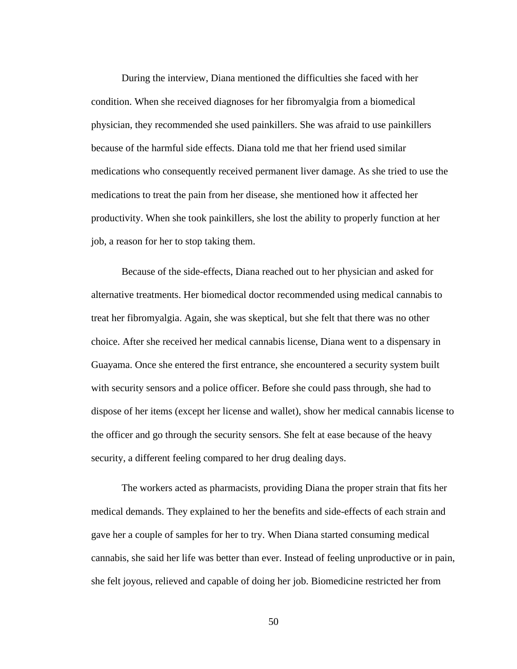During the interview, Diana mentioned the difficulties she faced with her condition. When she received diagnoses for her fibromyalgia from a biomedical physician, they recommended she used painkillers. She was afraid to use painkillers because of the harmful side effects. Diana told me that her friend used similar medications who consequently received permanent liver damage. As she tried to use the medications to treat the pain from her disease, she mentioned how it affected her productivity. When she took painkillers, she lost the ability to properly function at her job, a reason for her to stop taking them.

Because of the side-effects, Diana reached out to her physician and asked for alternative treatments. Her biomedical doctor recommended using medical cannabis to treat her fibromyalgia. Again, she was skeptical, but she felt that there was no other choice. After she received her medical cannabis license, Diana went to a dispensary in Guayama. Once she entered the first entrance, she encountered a security system built with security sensors and a police officer. Before she could pass through, she had to dispose of her items (except her license and wallet), show her medical cannabis license to the officer and go through the security sensors. She felt at ease because of the heavy security, a different feeling compared to her drug dealing days.

The workers acted as pharmacists, providing Diana the proper strain that fits her medical demands. They explained to her the benefits and side-effects of each strain and gave her a couple of samples for her to try. When Diana started consuming medical cannabis, she said her life was better than ever. Instead of feeling unproductive or in pain, she felt joyous, relieved and capable of doing her job. Biomedicine restricted her from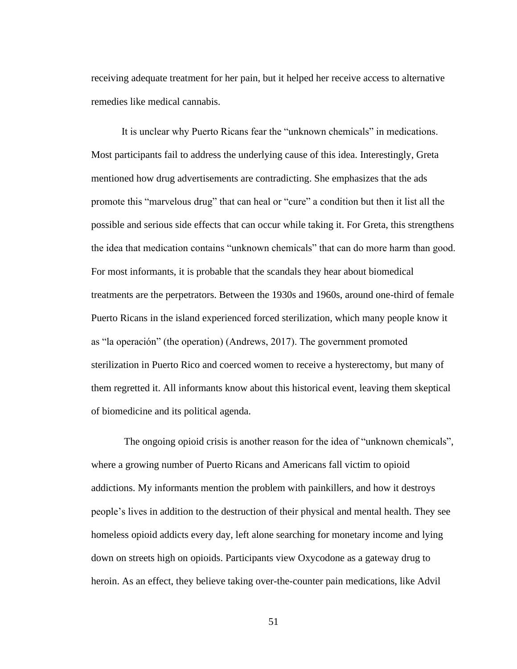receiving adequate treatment for her pain, but it helped her receive access to alternative remedies like medical cannabis.

It is unclear why Puerto Ricans fear the "unknown chemicals" in medications. Most participants fail to address the underlying cause of this idea. Interestingly, Greta mentioned how drug advertisements are contradicting. She emphasizes that the ads promote this "marvelous drug" that can heal or "cure" a condition but then it list all the possible and serious side effects that can occur while taking it. For Greta, this strengthens the idea that medication contains "unknown chemicals" that can do more harm than good. For most informants, it is probable that the scandals they hear about biomedical treatments are the perpetrators. Between the 1930s and 1960s, around one-third of female Puerto Ricans in the island experienced forced sterilization, which many people know it as "la operación" (the operation) (Andrews, 2017). The government promoted sterilization in Puerto Rico and coerced women to receive a hysterectomy, but many of them regretted it. All informants know about this historical event, leaving them skeptical of biomedicine and its political agenda.

The ongoing opioid crisis is another reason for the idea of "unknown chemicals", where a growing number of Puerto Ricans and Americans fall victim to opioid addictions. My informants mention the problem with painkillers, and how it destroys people's lives in addition to the destruction of their physical and mental health. They see homeless opioid addicts every day, left alone searching for monetary income and lying down on streets high on opioids. Participants view Oxycodone as a gateway drug to heroin. As an effect, they believe taking over-the-counter pain medications, like Advil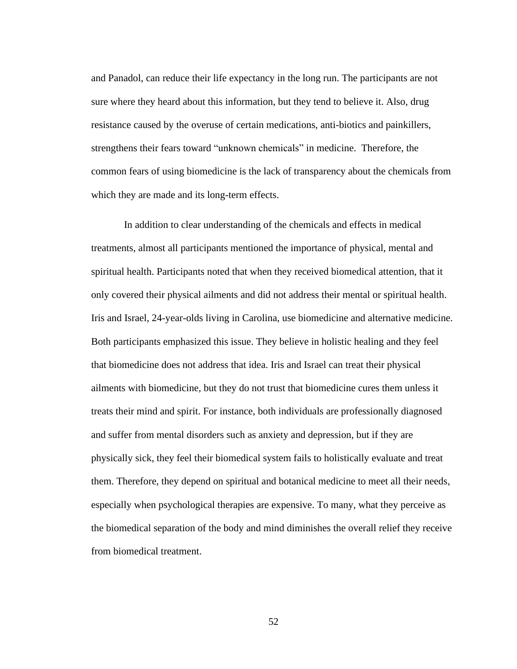and Panadol, can reduce their life expectancy in the long run. The participants are not sure where they heard about this information, but they tend to believe it. Also, drug resistance caused by the overuse of certain medications, anti-biotics and painkillers, strengthens their fears toward "unknown chemicals" in medicine. Therefore, the common fears of using biomedicine is the lack of transparency about the chemicals from which they are made and its long-term effects.

In addition to clear understanding of the chemicals and effects in medical treatments, almost all participants mentioned the importance of physical, mental and spiritual health. Participants noted that when they received biomedical attention, that it only covered their physical ailments and did not address their mental or spiritual health. Iris and Israel, 24-year-olds living in Carolina, use biomedicine and alternative medicine. Both participants emphasized this issue. They believe in holistic healing and they feel that biomedicine does not address that idea. Iris and Israel can treat their physical ailments with biomedicine, but they do not trust that biomedicine cures them unless it treats their mind and spirit. For instance, both individuals are professionally diagnosed and suffer from mental disorders such as anxiety and depression, but if they are physically sick, they feel their biomedical system fails to holistically evaluate and treat them. Therefore, they depend on spiritual and botanical medicine to meet all their needs, especially when psychological therapies are expensive. To many, what they perceive as the biomedical separation of the body and mind diminishes the overall relief they receive from biomedical treatment.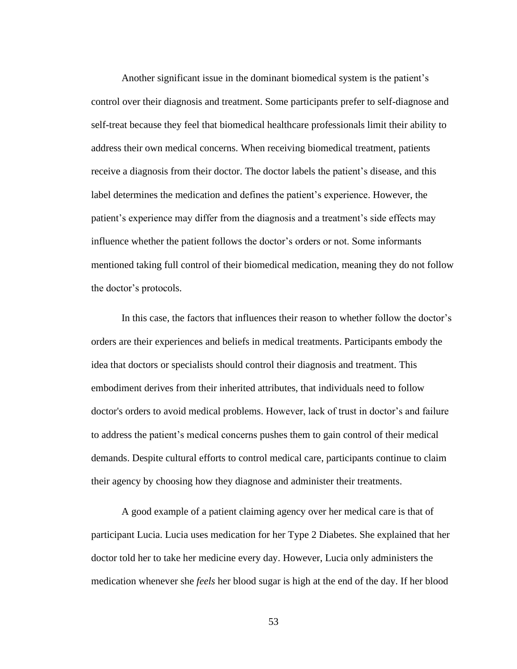Another significant issue in the dominant biomedical system is the patient's control over their diagnosis and treatment. Some participants prefer to self-diagnose and self-treat because they feel that biomedical healthcare professionals limit their ability to address their own medical concerns. When receiving biomedical treatment, patients receive a diagnosis from their doctor. The doctor labels the patient's disease, and this label determines the medication and defines the patient's experience. However, the patient's experience may differ from the diagnosis and a treatment's side effects may influence whether the patient follows the doctor's orders or not. Some informants mentioned taking full control of their biomedical medication, meaning they do not follow the doctor's protocols.

In this case, the factors that influences their reason to whether follow the doctor's orders are their experiences and beliefs in medical treatments. Participants embody the idea that doctors or specialists should control their diagnosis and treatment. This embodiment derives from their inherited attributes, that individuals need to follow doctor's orders to avoid medical problems. However, lack of trust in doctor's and failure to address the patient's medical concerns pushes them to gain control of their medical demands. Despite cultural efforts to control medical care, participants continue to claim their agency by choosing how they diagnose and administer their treatments.

A good example of a patient claiming agency over her medical care is that of participant Lucia. Lucia uses medication for her Type 2 Diabetes. She explained that her doctor told her to take her medicine every day. However, Lucia only administers the medication whenever she *feels* her blood sugar is high at the end of the day. If her blood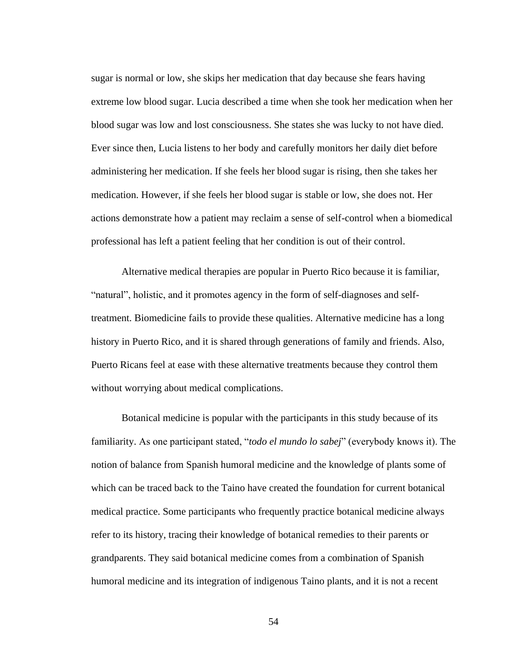sugar is normal or low, she skips her medication that day because she fears having extreme low blood sugar. Lucia described a time when she took her medication when her blood sugar was low and lost consciousness. She states she was lucky to not have died. Ever since then, Lucia listens to her body and carefully monitors her daily diet before administering her medication. If she feels her blood sugar is rising, then she takes her medication. However, if she feels her blood sugar is stable or low, she does not. Her actions demonstrate how a patient may reclaim a sense of self-control when a biomedical professional has left a patient feeling that her condition is out of their control.

Alternative medical therapies are popular in Puerto Rico because it is familiar, "natural", holistic, and it promotes agency in the form of self-diagnoses and selftreatment. Biomedicine fails to provide these qualities. Alternative medicine has a long history in Puerto Rico, and it is shared through generations of family and friends. Also, Puerto Ricans feel at ease with these alternative treatments because they control them without worrying about medical complications.

Botanical medicine is popular with the participants in this study because of its familiarity. As one participant stated, "*todo el mundo lo sabej*" (everybody knows it). The notion of balance from Spanish humoral medicine and the knowledge of plants some of which can be traced back to the Taino have created the foundation for current botanical medical practice. Some participants who frequently practice botanical medicine always refer to its history, tracing their knowledge of botanical remedies to their parents or grandparents. They said botanical medicine comes from a combination of Spanish humoral medicine and its integration of indigenous Taino plants, and it is not a recent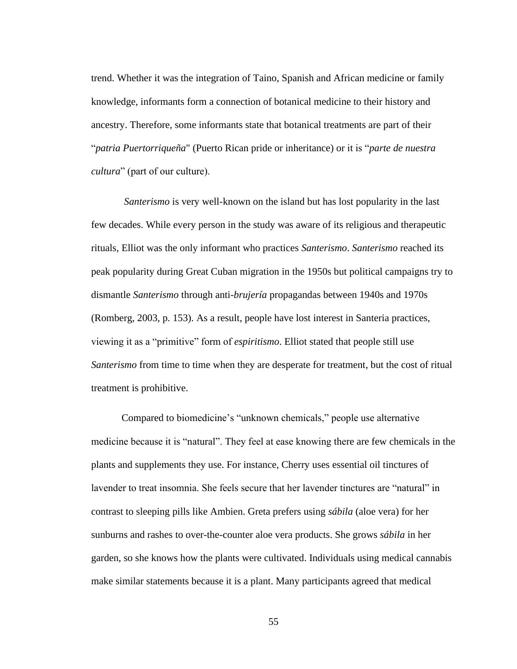trend. Whether it was the integration of Taino, Spanish and African medicine or family knowledge, informants form a connection of botanical medicine to their history and ancestry. Therefore, some informants state that botanical treatments are part of their "*patria Puertorriqueña*" (Puerto Rican pride or inheritance) or it is "*parte de nuestra cultura*" (part of our culture).

*Santerismo* is very well-known on the island but has lost popularity in the last few decades. While every person in the study was aware of its religious and therapeutic rituals, Elliot was the only informant who practices *Santerismo*. *Santerismo* reached its peak popularity during Great Cuban migration in the 1950s but political campaigns try to dismantle *Santerismo* through anti-*brujería* propagandas between 1940s and 1970s (Romberg, 2003, p. 153). As a result, people have lost interest in Santeria practices, viewing it as a "primitive" form of *espiritismo*. Elliot stated that people still use *Santerismo* from time to time when they are desperate for treatment, but the cost of ritual treatment is prohibitive.

Compared to biomedicine's "unknown chemicals," people use alternative medicine because it is "natural". They feel at ease knowing there are few chemicals in the plants and supplements they use. For instance, Cherry uses essential oil tinctures of lavender to treat insomnia. She feels secure that her lavender tinctures are "natural" in contrast to sleeping pills like Ambien. Greta prefers using *sábila* (aloe vera) for her sunburns and rashes to over-the-counter aloe vera products. She grows *sábila* in her garden, so she knows how the plants were cultivated. Individuals using medical cannabis make similar statements because it is a plant. Many participants agreed that medical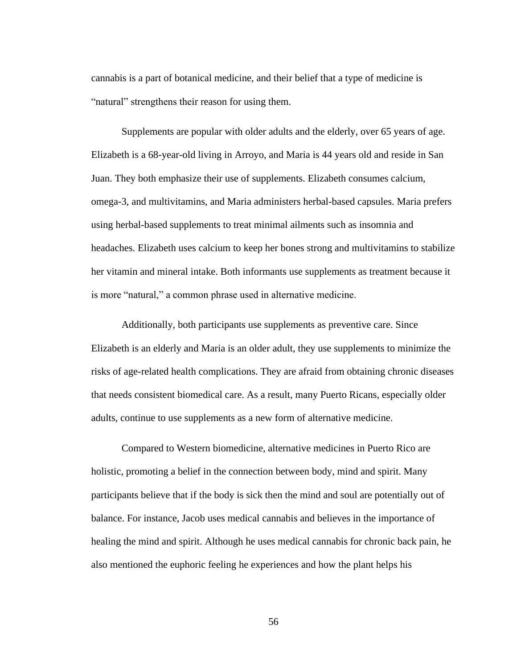cannabis is a part of botanical medicine, and their belief that a type of medicine is "natural" strengthens their reason for using them.

Supplements are popular with older adults and the elderly, over 65 years of age. Elizabeth is a 68-year-old living in Arroyo, and Maria is 44 years old and reside in San Juan. They both emphasize their use of supplements. Elizabeth consumes calcium, omega-3, and multivitamins, and Maria administers herbal-based capsules. Maria prefers using herbal-based supplements to treat minimal ailments such as insomnia and headaches. Elizabeth uses calcium to keep her bones strong and multivitamins to stabilize her vitamin and mineral intake. Both informants use supplements as treatment because it is more "natural," a common phrase used in alternative medicine.

Additionally, both participants use supplements as preventive care. Since Elizabeth is an elderly and Maria is an older adult, they use supplements to minimize the risks of age-related health complications. They are afraid from obtaining chronic diseases that needs consistent biomedical care. As a result, many Puerto Ricans, especially older adults, continue to use supplements as a new form of alternative medicine.

Compared to Western biomedicine, alternative medicines in Puerto Rico are holistic, promoting a belief in the connection between body, mind and spirit. Many participants believe that if the body is sick then the mind and soul are potentially out of balance. For instance, Jacob uses medical cannabis and believes in the importance of healing the mind and spirit. Although he uses medical cannabis for chronic back pain, he also mentioned the euphoric feeling he experiences and how the plant helps his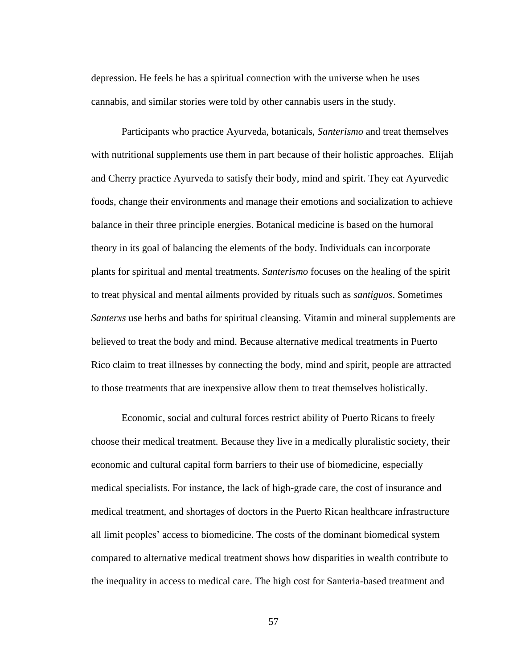depression. He feels he has a spiritual connection with the universe when he uses cannabis, and similar stories were told by other cannabis users in the study.

Participants who practice Ayurveda, botanicals, *Santerismo* and treat themselves with nutritional supplements use them in part because of their holistic approaches. Elijah and Cherry practice Ayurveda to satisfy their body, mind and spirit. They eat Ayurvedic foods, change their environments and manage their emotions and socialization to achieve balance in their three principle energies. Botanical medicine is based on the humoral theory in its goal of balancing the elements of the body. Individuals can incorporate plants for spiritual and mental treatments. *Santerismo* focuses on the healing of the spirit to treat physical and mental ailments provided by rituals such as *santiguos*. Sometimes *Santerxs* use herbs and baths for spiritual cleansing. Vitamin and mineral supplements are believed to treat the body and mind. Because alternative medical treatments in Puerto Rico claim to treat illnesses by connecting the body, mind and spirit, people are attracted to those treatments that are inexpensive allow them to treat themselves holistically.

Economic, social and cultural forces restrict ability of Puerto Ricans to freely choose their medical treatment. Because they live in a medically pluralistic society, their economic and cultural capital form barriers to their use of biomedicine, especially medical specialists. For instance, the lack of high-grade care, the cost of insurance and medical treatment, and shortages of doctors in the Puerto Rican healthcare infrastructure all limit peoples' access to biomedicine. The costs of the dominant biomedical system compared to alternative medical treatment shows how disparities in wealth contribute to the inequality in access to medical care. The high cost for Santeria-based treatment and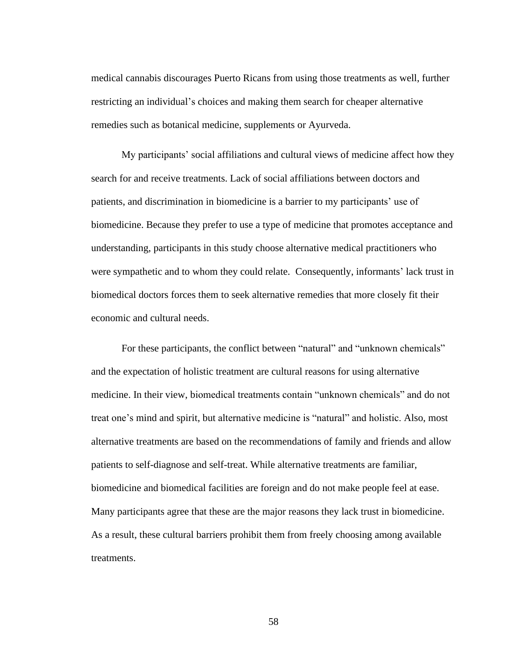medical cannabis discourages Puerto Ricans from using those treatments as well, further restricting an individual's choices and making them search for cheaper alternative remedies such as botanical medicine, supplements or Ayurveda.

My participants' social affiliations and cultural views of medicine affect how they search for and receive treatments. Lack of social affiliations between doctors and patients, and discrimination in biomedicine is a barrier to my participants' use of biomedicine. Because they prefer to use a type of medicine that promotes acceptance and understanding, participants in this study choose alternative medical practitioners who were sympathetic and to whom they could relate. Consequently, informants' lack trust in biomedical doctors forces them to seek alternative remedies that more closely fit their economic and cultural needs.

For these participants, the conflict between "natural" and "unknown chemicals" and the expectation of holistic treatment are cultural reasons for using alternative medicine. In their view, biomedical treatments contain "unknown chemicals" and do not treat one's mind and spirit, but alternative medicine is "natural" and holistic. Also, most alternative treatments are based on the recommendations of family and friends and allow patients to self-diagnose and self-treat. While alternative treatments are familiar, biomedicine and biomedical facilities are foreign and do not make people feel at ease. Many participants agree that these are the major reasons they lack trust in biomedicine. As a result, these cultural barriers prohibit them from freely choosing among available treatments.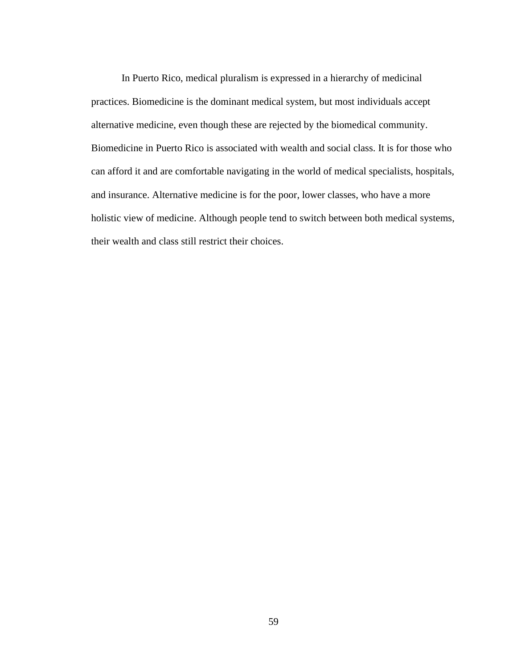In Puerto Rico, medical pluralism is expressed in a hierarchy of medicinal practices. Biomedicine is the dominant medical system, but most individuals accept alternative medicine, even though these are rejected by the biomedical community. Biomedicine in Puerto Rico is associated with wealth and social class. It is for those who can afford it and are comfortable navigating in the world of medical specialists, hospitals, and insurance. Alternative medicine is for the poor, lower classes, who have a more holistic view of medicine. Although people tend to switch between both medical systems, their wealth and class still restrict their choices.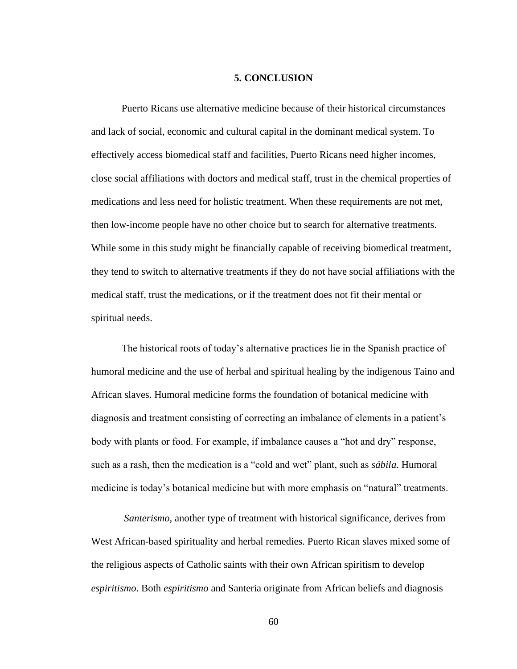## **5. CONCLUSION**

Puerto Ricans use alternative medicine because of their historical circumstances and lack of social, economic and cultural capital in the dominant medical system. To effectively access biomedical staff and facilities, Puerto Ricans need higher incomes, close social affiliations with doctors and medical staff, trust in the chemical properties of medications and less need for holistic treatment. When these requirements are not met, then low-income people have no other choice but to search for alternative treatments. While some in this study might be financially capable of receiving biomedical treatment, they tend to switch to alternative treatments if they do not have social affiliations with the medical staff, trust the medications, or if the treatment does not fit their mental or spiritual needs.

The historical roots of today's alternative practices lie in the Spanish practice of humoral medicine and the use of herbal and spiritual healing by the indigenous Taino and African slaves. Humoral medicine forms the foundation of botanical medicine with diagnosis and treatment consisting of correcting an imbalance of elements in a patient's body with plants or food. For example, if imbalance causes a "hot and dry" response, such as a rash, then the medication is a "cold and wet" plant, such as *sábila*. Humoral medicine is today's botanical medicine but with more emphasis on "natural" treatments.

*Santerismo*, another type of treatment with historical significance, derives from West African-based spirituality and herbal remedies. Puerto Rican slaves mixed some of the religious aspects of Catholic saints with their own African spiritism to develop *espiritismo*. Both *espiritismo* and Santeria originate from African beliefs and diagnosis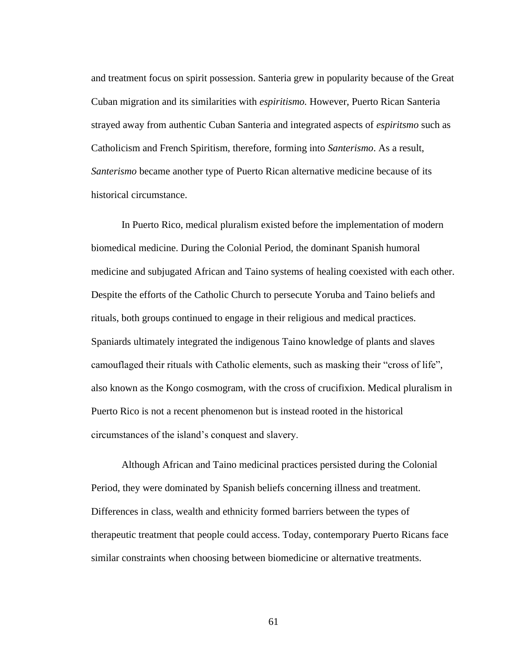and treatment focus on spirit possession. Santeria grew in popularity because of the Great Cuban migration and its similarities with *espiritismo.* However, Puerto Rican Santeria strayed away from authentic Cuban Santeria and integrated aspects of *espiritsmo* such as Catholicism and French Spiritism, therefore, forming into *Santerismo*. As a result, *Santerismo* became another type of Puerto Rican alternative medicine because of its historical circumstance.

In Puerto Rico, medical pluralism existed before the implementation of modern biomedical medicine. During the Colonial Period, the dominant Spanish humoral medicine and subjugated African and Taino systems of healing coexisted with each other. Despite the efforts of the Catholic Church to persecute Yoruba and Taino beliefs and rituals, both groups continued to engage in their religious and medical practices. Spaniards ultimately integrated the indigenous Taino knowledge of plants and slaves camouflaged their rituals with Catholic elements, such as masking their "cross of life", also known as the Kongo cosmogram, with the cross of crucifixion. Medical pluralism in Puerto Rico is not a recent phenomenon but is instead rooted in the historical circumstances of the island's conquest and slavery.

Although African and Taino medicinal practices persisted during the Colonial Period, they were dominated by Spanish beliefs concerning illness and treatment. Differences in class, wealth and ethnicity formed barriers between the types of therapeutic treatment that people could access. Today, contemporary Puerto Ricans face similar constraints when choosing between biomedicine or alternative treatments.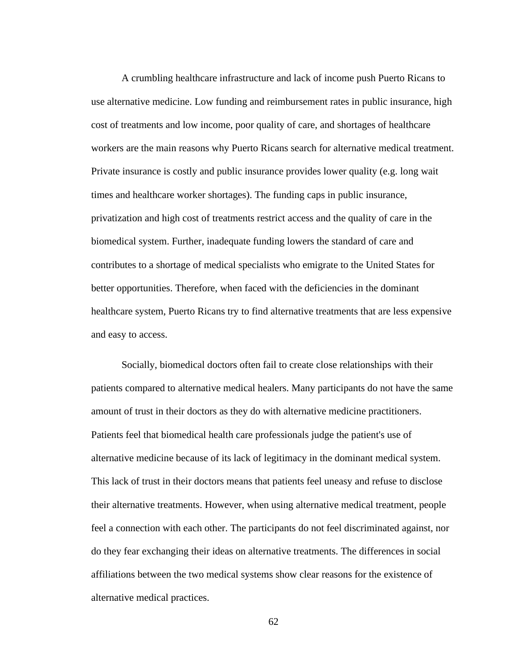A crumbling healthcare infrastructure and lack of income push Puerto Ricans to use alternative medicine. Low funding and reimbursement rates in public insurance, high cost of treatments and low income, poor quality of care, and shortages of healthcare workers are the main reasons why Puerto Ricans search for alternative medical treatment. Private insurance is costly and public insurance provides lower quality (e.g. long wait times and healthcare worker shortages). The funding caps in public insurance, privatization and high cost of treatments restrict access and the quality of care in the biomedical system. Further, inadequate funding lowers the standard of care and contributes to a shortage of medical specialists who emigrate to the United States for better opportunities. Therefore, when faced with the deficiencies in the dominant healthcare system, Puerto Ricans try to find alternative treatments that are less expensive and easy to access.

Socially, biomedical doctors often fail to create close relationships with their patients compared to alternative medical healers. Many participants do not have the same amount of trust in their doctors as they do with alternative medicine practitioners. Patients feel that biomedical health care professionals judge the patient's use of alternative medicine because of its lack of legitimacy in the dominant medical system. This lack of trust in their doctors means that patients feel uneasy and refuse to disclose their alternative treatments. However, when using alternative medical treatment, people feel a connection with each other. The participants do not feel discriminated against, nor do they fear exchanging their ideas on alternative treatments. The differences in social affiliations between the two medical systems show clear reasons for the existence of alternative medical practices.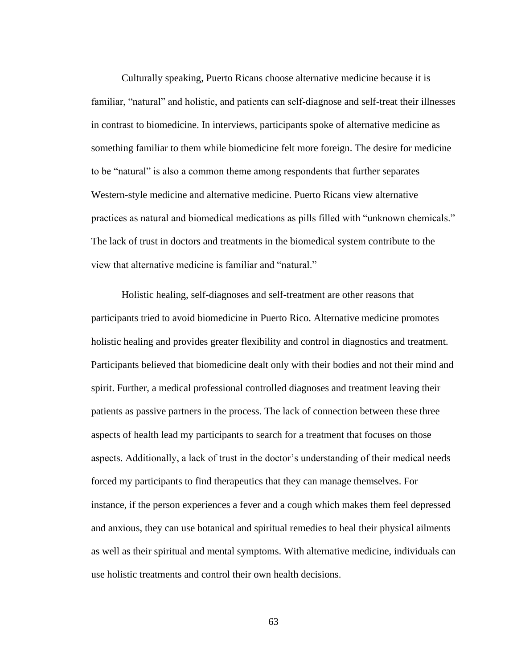Culturally speaking, Puerto Ricans choose alternative medicine because it is familiar, "natural" and holistic, and patients can self-diagnose and self-treat their illnesses in contrast to biomedicine. In interviews, participants spoke of alternative medicine as something familiar to them while biomedicine felt more foreign. The desire for medicine to be "natural" is also a common theme among respondents that further separates Western-style medicine and alternative medicine. Puerto Ricans view alternative practices as natural and biomedical medications as pills filled with "unknown chemicals." The lack of trust in doctors and treatments in the biomedical system contribute to the view that alternative medicine is familiar and "natural."

Holistic healing, self-diagnoses and self-treatment are other reasons that participants tried to avoid biomedicine in Puerto Rico. Alternative medicine promotes holistic healing and provides greater flexibility and control in diagnostics and treatment. Participants believed that biomedicine dealt only with their bodies and not their mind and spirit. Further, a medical professional controlled diagnoses and treatment leaving their patients as passive partners in the process. The lack of connection between these three aspects of health lead my participants to search for a treatment that focuses on those aspects. Additionally, a lack of trust in the doctor's understanding of their medical needs forced my participants to find therapeutics that they can manage themselves. For instance, if the person experiences a fever and a cough which makes them feel depressed and anxious, they can use botanical and spiritual remedies to heal their physical ailments as well as their spiritual and mental symptoms. With alternative medicine, individuals can use holistic treatments and control their own health decisions.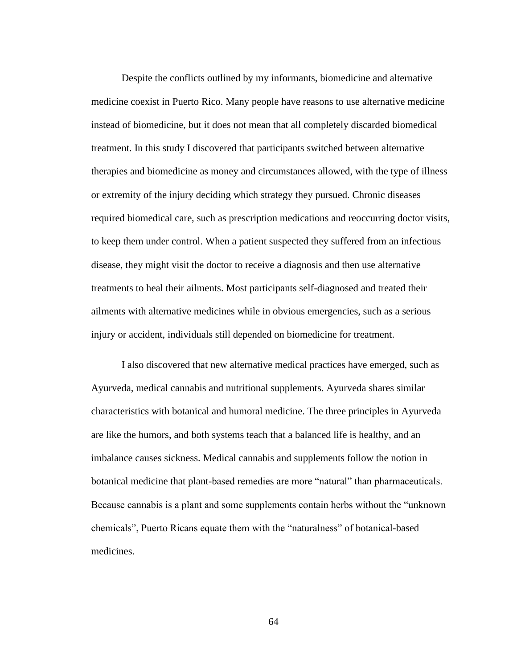Despite the conflicts outlined by my informants, biomedicine and alternative medicine coexist in Puerto Rico. Many people have reasons to use alternative medicine instead of biomedicine, but it does not mean that all completely discarded biomedical treatment. In this study I discovered that participants switched between alternative therapies and biomedicine as money and circumstances allowed, with the type of illness or extremity of the injury deciding which strategy they pursued. Chronic diseases required biomedical care, such as prescription medications and reoccurring doctor visits, to keep them under control. When a patient suspected they suffered from an infectious disease, they might visit the doctor to receive a diagnosis and then use alternative treatments to heal their ailments. Most participants self-diagnosed and treated their ailments with alternative medicines while in obvious emergencies, such as a serious injury or accident, individuals still depended on biomedicine for treatment.

I also discovered that new alternative medical practices have emerged, such as Ayurveda, medical cannabis and nutritional supplements. Ayurveda shares similar characteristics with botanical and humoral medicine. The three principles in Ayurveda are like the humors, and both systems teach that a balanced life is healthy, and an imbalance causes sickness. Medical cannabis and supplements follow the notion in botanical medicine that plant-based remedies are more "natural" than pharmaceuticals. Because cannabis is a plant and some supplements contain herbs without the "unknown chemicals", Puerto Ricans equate them with the "naturalness" of botanical-based medicines.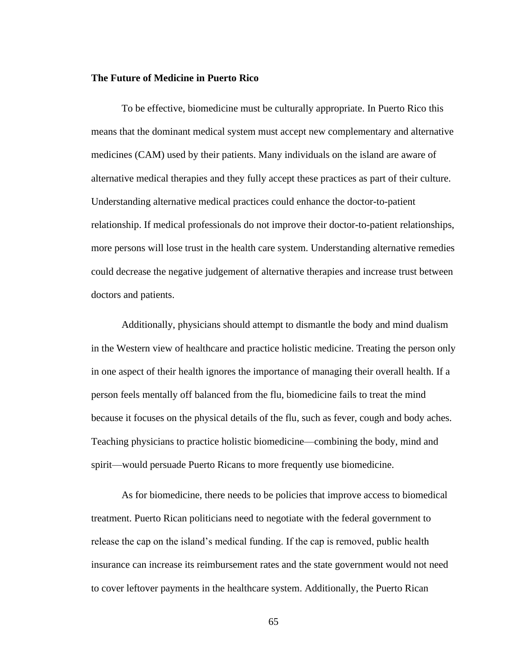## **The Future of Medicine in Puerto Rico**

To be effective, biomedicine must be culturally appropriate. In Puerto Rico this means that the dominant medical system must accept new complementary and alternative medicines (CAM) used by their patients. Many individuals on the island are aware of alternative medical therapies and they fully accept these practices as part of their culture. Understanding alternative medical practices could enhance the doctor-to-patient relationship. If medical professionals do not improve their doctor-to-patient relationships, more persons will lose trust in the health care system. Understanding alternative remedies could decrease the negative judgement of alternative therapies and increase trust between doctors and patients.

Additionally, physicians should attempt to dismantle the body and mind dualism in the Western view of healthcare and practice holistic medicine. Treating the person only in one aspect of their health ignores the importance of managing their overall health. If a person feels mentally off balanced from the flu, biomedicine fails to treat the mind because it focuses on the physical details of the flu, such as fever, cough and body aches. Teaching physicians to practice holistic biomedicine—combining the body, mind and spirit—would persuade Puerto Ricans to more frequently use biomedicine.

As for biomedicine, there needs to be policies that improve access to biomedical treatment. Puerto Rican politicians need to negotiate with the federal government to release the cap on the island's medical funding. If the cap is removed, public health insurance can increase its reimbursement rates and the state government would not need to cover leftover payments in the healthcare system. Additionally, the Puerto Rican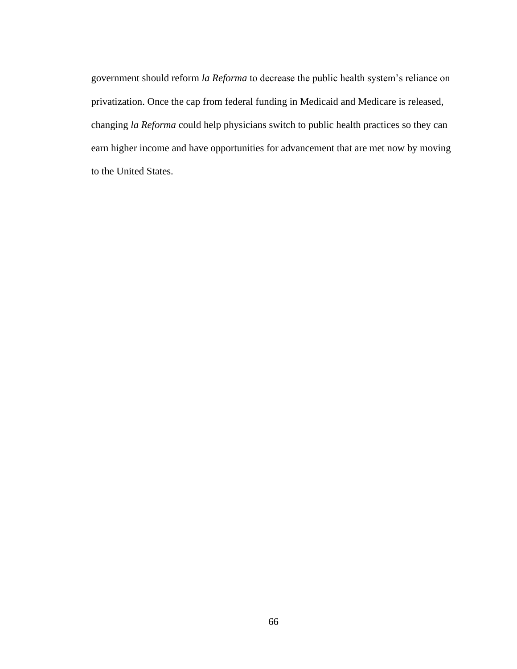government should reform *la Reforma* to decrease the public health system's reliance on privatization. Once the cap from federal funding in Medicaid and Medicare is released, changing *la Reforma* could help physicians switch to public health practices so they can earn higher income and have opportunities for advancement that are met now by moving to the United States.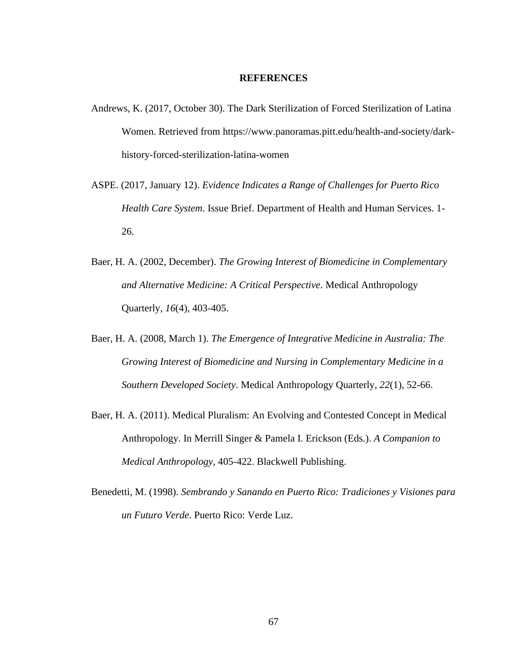## **REFERENCES**

- Andrews, K. (2017, October 30). The Dark Sterilization of Forced Sterilization of Latina Women. Retrieved from https://www.panoramas.pitt.edu/health-and-society/darkhistory-forced-sterilization-latina-women
- ASPE. (2017, January 12). *Evidence Indicates a Range of Challenges for Puerto Rico Health Care System*. Issue Brief. Department of Health and Human Services. 1- 26.
- Baer, H. A. (2002, December). *The Growing Interest of Biomedicine in Complementary and Alternative Medicine: A Critical Perspective*. Medical Anthropology Quarterly, *16*(4), 403-405.
- Baer, H. A. (2008, March 1). *The Emergence of Integrative Medicine in Australia: The Growing Interest of Biomedicine and Nursing in Complementary Medicine in a Southern Developed Society*. Medical Anthropology Quarterly, *22*(1), 52-66.
- Baer, H. A. (2011). Medical Pluralism: An Evolving and Contested Concept in Medical Anthropology. In Merrill Singer & Pamela I. Erickson (Eds.). *A Companion to Medical Anthropology,* 405-422. Blackwell Publishing.
- Benedetti, M. (1998). *Sembrando y Sanando en Puerto Rico: Tradiciones y Visiones para un Futuro Verde*. Puerto Rico: Verde Luz.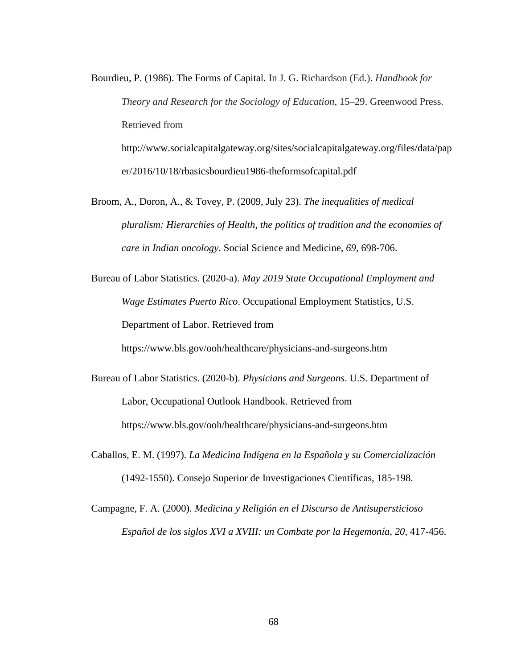Bourdieu, P. (1986). The Forms of Capital. In J. G. Richardson (Ed.). *Handbook for Theory and Research for the Sociology of Education*, 15–29. Greenwood Press. Retrieved from http://www.socialcapitalgateway.org/sites/socialcapitalgateway.org/files/data/pap er/2016/10/18/rbasicsbourdieu1986-theformsofcapital.pdf

Broom, A., Doron, A., & Tovey, P. (2009, July 23). *The inequalities of medical pluralism: Hierarchies of Health, the politics of tradition and the economies of care in Indian oncology*. Social Science and Medicine, *69,* 698-706.

Bureau of Labor Statistics. (2020-a). *May 2019 State Occupational Employment and Wage Estimates Puerto Rico*. Occupational Employment Statistics, U.S. Department of Labor. Retrieved from

https://www.bls.gov/ooh/healthcare/physicians-and-surgeons.htm

Bureau of Labor Statistics. (2020-b). *Physicians and Surgeons*. U.S. Department of Labor, Occupational Outlook Handbook. Retrieved from https://www.bls.gov/ooh/healthcare/physicians-and-surgeons.htm

Caballos, E. M. (1997). *La Medicina Indígena en la Española y su Comercialización* (1492-1550). Consejo Superior de Investigaciones Científicas, 185-198.

Campagne, F. A. (2000). *Medicina y Religión en el Discurso de Antisupersticioso Español de los siglos XVI a XVIII: un Combate por la Hegemonía*, *20*, 417-456.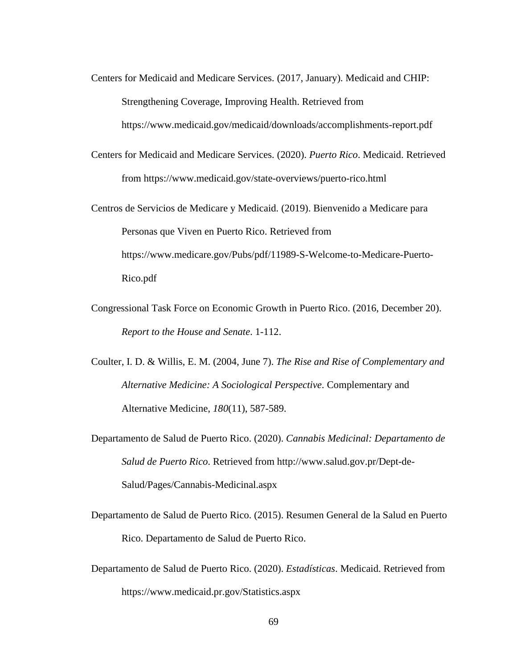- Centers for Medicaid and Medicare Services. (2017, January). Medicaid and CHIP: Strengthening Coverage, Improving Health. Retrieved from https://www.medicaid.gov/medicaid/downloads/accomplishments-report.pdf
- Centers for Medicaid and Medicare Services. (2020). *Puerto Rico*. Medicaid. Retrieved from https://www.medicaid.gov/state-overviews/puerto-rico.html
- Centros de Servicios de Medicare y Medicaid. (2019). Bienvenido a Medicare para Personas que Viven en Puerto Rico. Retrieved from https://www.medicare.gov/Pubs/pdf/11989-S-Welcome-to-Medicare-Puerto-Rico.pdf
- Congressional Task Force on Economic Growth in Puerto Rico. (2016, December 20). *Report to the House and Senate*. 1-112.
- Coulter, I. D. & Willis, E. M. (2004, June 7). *The Rise and Rise of Complementary and Alternative Medicine: A Sociological Perspective*. Complementary and Alternative Medicine, *180*(11), 587-589.
- Departamento de Salud de Puerto Rico. (2020). *Cannabis Medicinal: Departamento de Salud de Puerto Rico*. Retrieved from http://www.salud.gov.pr/Dept-de-Salud/Pages/Cannabis-Medicinal.aspx
- Departamento de Salud de Puerto Rico. (2015). Resumen General de la Salud en Puerto Rico. Departamento de Salud de Puerto Rico.
- Departamento de Salud de Puerto Rico. (2020). *Estadísticas*. Medicaid. Retrieved from https://www.medicaid.pr.gov/Statistics.aspx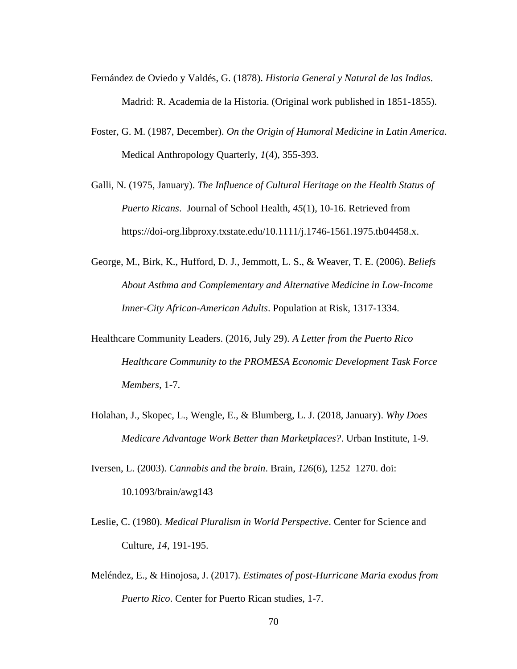- Fernández de Oviedo y Valdés, G. (1878). *Historia General y Natural de las Indias*. Madrid: R. Academia de la Historia. (Original work published in 1851-1855).
- Foster, G. M. (1987, December). *On the Origin of Humoral Medicine in Latin America*. Medical Anthropology Quarterly, *1*(4), 355-393.
- Galli, N. (1975, January). *The Influence of Cultural Heritage on the Health Status of Puerto Ricans*. Journal of School Health, *45*(1), 10-16. Retrieved from https://doi-org.libproxy.txstate.edu/10.1111/j.1746-1561.1975.tb04458.x.
- George, M., Birk, K., Hufford, D. J., Jemmott, L. S., & Weaver, T. E. (2006). *Beliefs About Asthma and Complementary and Alternative Medicine in Low-Income Inner-City African-American Adults*. Population at Risk, 1317-1334.
- Healthcare Community Leaders. (2016, July 29). *A Letter from the Puerto Rico Healthcare Community to the PROMESA Economic Development Task Force Members,* 1-7.
- Holahan, J., Skopec, L., Wengle, E., & Blumberg, L. J. (2018, January). *Why Does Medicare Advantage Work Better than Marketplaces?*. Urban Institute, 1-9.
- Iversen, L. (2003). *Cannabis and the brain*. Brain, *126*(6), 1252–1270. doi: 10.1093/brain/awg143
- Leslie, C. (1980). *Medical Pluralism in World Perspective*. Center for Science and Culture, *14*, 191-195.
- Meléndez, E., & Hinojosa, J. (2017). *Estimates of post-Hurricane Maria exodus from Puerto Rico*. Center for Puerto Rican studies, 1-7.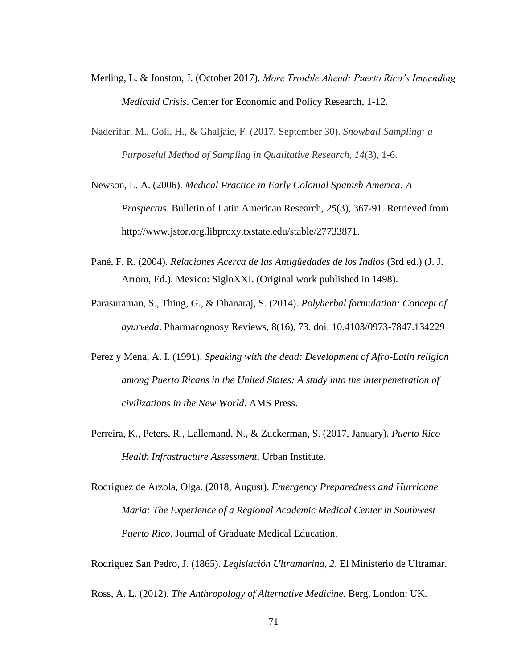- Merling, L. & Jonston, J. (October 2017). *More Trouble Ahead: Puerto Rico's Impending Medicaid Crisis*. Center for Economic and Policy Research, 1-12.
- Naderifar, M., Goli, H., & Ghaljaie, F. (2017, September 30). *Snowball Sampling: a Purposeful Method of Sampling in Qualitative Research*, *14*(3), 1-6.
- Newson, L. A. (2006). *Medical Practice in Early Colonial Spanish America: A Prospectus*. Bulletin of Latin American Research, *25*(3), 367-91. Retrieved from http://www.jstor.org.libproxy.txstate.edu/stable/27733871.
- Pané, F. R. (2004). *Relaciones Acerca de las Antigüedades de los Indios* (3rd ed.) (J. J. Arrom, Ed.). Mexico: SigloXXI. (Original work published in 1498).
- Parasuraman, S., Thing, G., & Dhanaraj, S. (2014). *Polyherbal formulation: Concept of ayurveda*. Pharmacognosy Reviews, 8(16), 73. doi: 10.4103/0973-7847.134229
- Perez y Mena, A. I. (1991). *Speaking with the dead: Development of Afro-Latin religion among Puerto Ricans in the United States: A study into the interpenetration of civilizations in the New World*. AMS Press.
- Perreira, K., Peters, R., Lallemand, N., & Zuckerman, S. (2017, January). *Puerto Rico Health Infrastructure Assessment*. Urban Institute.
- Rodriguez de Arzola, Olga. (2018, August). *Emergency Preparedness and Hurricane Maria: The Experience of a Regional Academic Medical Center in Southwest Puerto Rico*. Journal of Graduate Medical Education.

Rodriguez San Pedro, J. (1865). *Legislación Ultramarina*, *2*. El Ministerio de Ultramar.

Ross, A. L. (2012). *The Anthropology of Alternative Medicine*. Berg. London: UK.